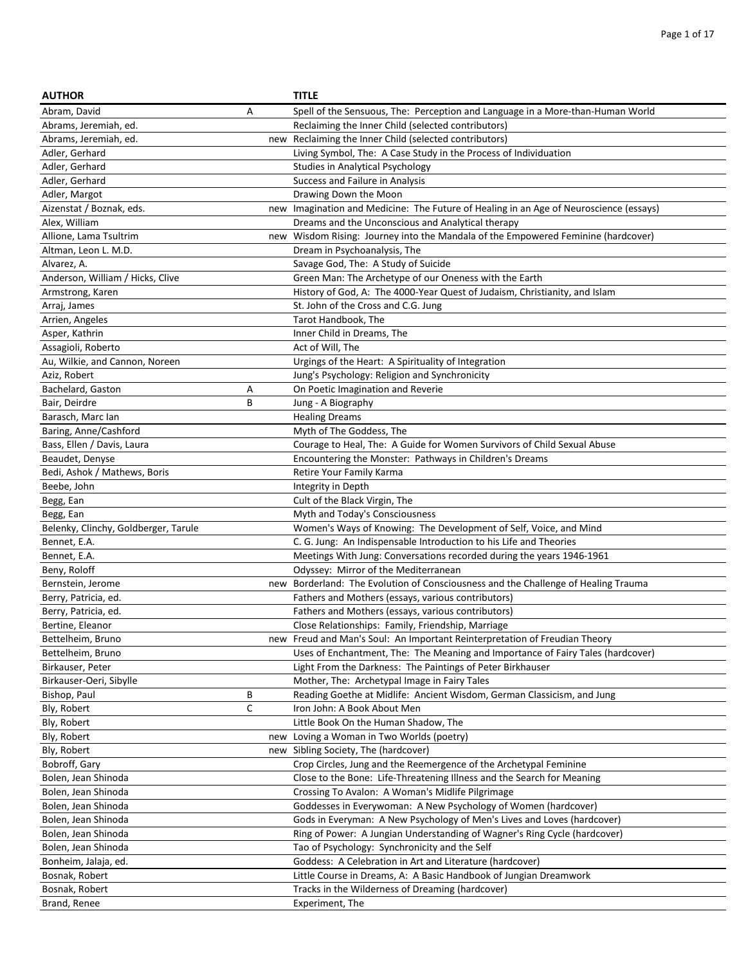| <b>AUTHOR</b>                        |     | <b>TITLE</b>                                                                       |
|--------------------------------------|-----|------------------------------------------------------------------------------------|
| Abram, David                         | Α   | Spell of the Sensuous, The: Perception and Language in a More-than-Human World     |
| Abrams, Jeremiah, ed.                |     | Reclaiming the Inner Child (selected contributors)                                 |
| Abrams, Jeremiah, ed.                |     | new Reclaiming the Inner Child (selected contributors)                             |
| Adler, Gerhard                       |     | Living Symbol, The: A Case Study in the Process of Individuation                   |
| Adler, Gerhard                       |     | Studies in Analytical Psychology                                                   |
| Adler, Gerhard                       |     | Success and Failure in Analysis                                                    |
| Adler, Margot                        |     | Drawing Down the Moon                                                              |
| Aizenstat / Boznak, eds.             | new | Imagination and Medicine: The Future of Healing in an Age of Neuroscience (essays) |
| Alex, William                        |     | Dreams and the Unconscious and Analytical therapy                                  |
| Allione, Lama Tsultrim               |     | new Wisdom Rising: Journey into the Mandala of the Empowered Feminine (hardcover)  |
| Altman, Leon L. M.D.                 |     | Dream in Psychoanalysis, The                                                       |
| Alvarez, A.                          |     | Savage God, The: A Study of Suicide                                                |
| Anderson, William / Hicks, Clive     |     | Green Man: The Archetype of our Oneness with the Earth                             |
| Armstrong, Karen                     |     | History of God, A: The 4000-Year Quest of Judaism, Christianity, and Islam         |
| Arraj, James                         |     | St. John of the Cross and C.G. Jung                                                |
| Arrien, Angeles                      |     | Tarot Handbook, The                                                                |
| Asper, Kathrin                       |     | Inner Child in Dreams, The                                                         |
| Assagioli, Roberto                   |     | Act of Will, The                                                                   |
| Au, Wilkie, and Cannon, Noreen       |     | Urgings of the Heart: A Spirituality of Integration                                |
| Aziz, Robert                         |     | Jung's Psychology: Religion and Synchronicity                                      |
| Bachelard, Gaston                    | А   | On Poetic Imagination and Reverie                                                  |
| Bair, Deirdre                        | В   | Jung - A Biography                                                                 |
| Barasch, Marc Ian                    |     | <b>Healing Dreams</b>                                                              |
| Baring, Anne/Cashford                |     | Myth of The Goddess, The                                                           |
| Bass, Ellen / Davis, Laura           |     | Courage to Heal, The: A Guide for Women Survivors of Child Sexual Abuse            |
| Beaudet, Denyse                      |     | Encountering the Monster: Pathways in Children's Dreams                            |
| Bedi, Ashok / Mathews, Boris         |     | Retire Your Family Karma                                                           |
| Beebe, John                          |     | Integrity in Depth                                                                 |
| Begg, Ean                            |     | Cult of the Black Virgin, The                                                      |
| Begg, Ean                            |     | Myth and Today's Consciousness                                                     |
| Belenky, Clinchy, Goldberger, Tarule |     | Women's Ways of Knowing: The Development of Self, Voice, and Mind                  |
| Bennet, E.A.                         |     | C. G. Jung: An Indispensable Introduction to his Life and Theories                 |
| Bennet, E.A.                         |     | Meetings With Jung: Conversations recorded during the years 1946-1961              |
| Beny, Roloff                         |     | Odyssey: Mirror of the Mediterranean                                               |
| Bernstein, Jerome                    |     | new Borderland: The Evolution of Consciousness and the Challenge of Healing Trauma |
| Berry, Patricia, ed.                 |     | Fathers and Mothers (essays, various contributors)                                 |
| Berry, Patricia, ed.                 |     | Fathers and Mothers (essays, various contributors)                                 |
| Bertine, Eleanor                     |     | Close Relationships: Family, Friendship, Marriage                                  |
| Bettelheim, Bruno                    |     | new Freud and Man's Soul: An Important Reinterpretation of Freudian Theory         |
| Bettelheim, Bruno                    |     | Uses of Enchantment, The: The Meaning and Importance of Fairy Tales (hardcover)    |
| Birkauser, Peter                     |     | Light From the Darkness: The Paintings of Peter Birkhauser                         |
| Birkauser-Oeri, Sibylle              |     | Mother, The: Archetypal Image in Fairy Tales                                       |
| Bishop, Paul                         | В   | Reading Goethe at Midlife: Ancient Wisdom, German Classicism, and Jung             |
| Bly, Robert                          | C   | Iron John: A Book About Men                                                        |
| Bly, Robert                          |     | Little Book On the Human Shadow, The                                               |
| Bly, Robert                          |     | new Loving a Woman in Two Worlds (poetry)                                          |
| Bly, Robert                          |     | new Sibling Society, The (hardcover)                                               |
| Bobroff, Gary                        |     | Crop Circles, Jung and the Reemergence of the Archetypal Feminine                  |
| Bolen, Jean Shinoda                  |     | Close to the Bone: Life-Threatening Illness and the Search for Meaning             |
| Bolen, Jean Shinoda                  |     | Crossing To Avalon: A Woman's Midlife Pilgrimage                                   |
| Bolen, Jean Shinoda                  |     | Goddesses in Everywoman: A New Psychology of Women (hardcover)                     |
| Bolen, Jean Shinoda                  |     | Gods in Everyman: A New Psychology of Men's Lives and Loves (hardcover)            |
| Bolen, Jean Shinoda                  |     | Ring of Power: A Jungian Understanding of Wagner's Ring Cycle (hardcover)          |
| Bolen, Jean Shinoda                  |     | Tao of Psychology: Synchronicity and the Self                                      |
| Bonheim, Jalaja, ed.                 |     | Goddess: A Celebration in Art and Literature (hardcover)                           |
| Bosnak, Robert                       |     | Little Course in Dreams, A: A Basic Handbook of Jungian Dreamwork                  |
| Bosnak, Robert                       |     | Tracks in the Wilderness of Dreaming (hardcover)                                   |
| Brand, Renee                         |     | Experiment, The                                                                    |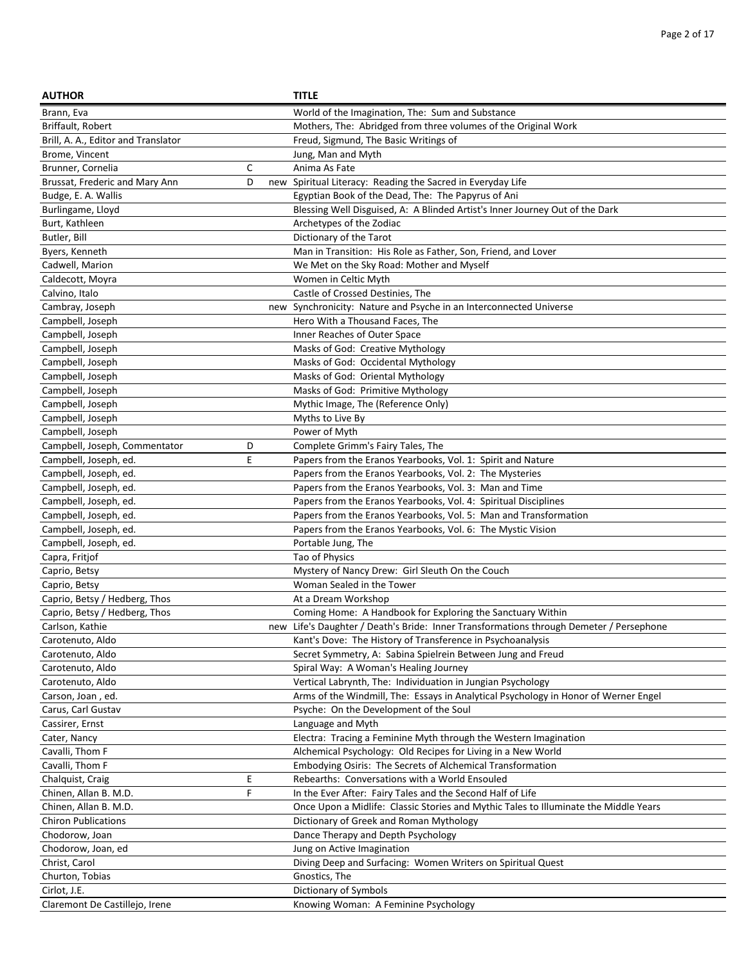| <b>AUTHOR</b>                        |    | <b>TITLE</b>                                                                                                 |
|--------------------------------------|----|--------------------------------------------------------------------------------------------------------------|
| Brann, Eva                           |    | World of the Imagination, The: Sum and Substance                                                             |
| Briffault, Robert                    |    | Mothers, The: Abridged from three volumes of the Original Work                                               |
| Brill, A. A., Editor and Translator  |    | Freud, Sigmund, The Basic Writings of                                                                        |
| Brome, Vincent                       |    | Jung, Man and Myth                                                                                           |
| Brunner, Cornelia                    | C  | Anima As Fate                                                                                                |
| Brussat, Frederic and Mary Ann       | D  | new Spiritual Literacy: Reading the Sacred in Everyday Life                                                  |
| Budge, E. A. Wallis                  |    | Egyptian Book of the Dead, The: The Papyrus of Ani                                                           |
| Burlingame, Lloyd                    |    | Blessing Well Disguised, A: A Blinded Artist's Inner Journey Out of the Dark                                 |
| Burt, Kathleen                       |    | Archetypes of the Zodiac                                                                                     |
| Butler, Bill                         |    | Dictionary of the Tarot                                                                                      |
| Byers, Kenneth                       |    | Man in Transition: His Role as Father, Son, Friend, and Lover                                                |
| Cadwell, Marion                      |    | We Met on the Sky Road: Mother and Myself                                                                    |
| Caldecott, Moyra                     |    | Women in Celtic Myth                                                                                         |
| Calvino, Italo                       |    | Castle of Crossed Destinies, The                                                                             |
| Cambray, Joseph                      |    | new Synchronicity: Nature and Psyche in an Interconnected Universe                                           |
| Campbell, Joseph                     |    | Hero With a Thousand Faces, The                                                                              |
| Campbell, Joseph                     |    | Inner Reaches of Outer Space                                                                                 |
| Campbell, Joseph                     |    | Masks of God: Creative Mythology                                                                             |
| Campbell, Joseph                     |    | Masks of God: Occidental Mythology                                                                           |
| Campbell, Joseph                     |    | Masks of God: Oriental Mythology                                                                             |
| Campbell, Joseph                     |    | Masks of God: Primitive Mythology                                                                            |
| Campbell, Joseph                     |    | Mythic Image, The (Reference Only)                                                                           |
| Campbell, Joseph                     |    | Myths to Live By                                                                                             |
| Campbell, Joseph                     |    | Power of Myth                                                                                                |
| Campbell, Joseph, Commentator        | D  | Complete Grimm's Fairy Tales, The                                                                            |
| Campbell, Joseph, ed.                | E  | Papers from the Eranos Yearbooks, Vol. 1: Spirit and Nature                                                  |
| Campbell, Joseph, ed.                |    | Papers from the Eranos Yearbooks, Vol. 2: The Mysteries                                                      |
| Campbell, Joseph, ed.                |    | Papers from the Eranos Yearbooks, Vol. 3: Man and Time                                                       |
| Campbell, Joseph, ed.                |    | Papers from the Eranos Yearbooks, Vol. 4: Spiritual Disciplines                                              |
| Campbell, Joseph, ed.                |    | Papers from the Eranos Yearbooks, Vol. 5: Man and Transformation                                             |
| Campbell, Joseph, ed.                |    | Papers from the Eranos Yearbooks, Vol. 6: The Mystic Vision                                                  |
| Campbell, Joseph, ed.                |    | Portable Jung, The                                                                                           |
| Capra, Fritjof                       |    | Tao of Physics                                                                                               |
| Caprio, Betsy                        |    | Mystery of Nancy Drew: Girl Sleuth On the Couch                                                              |
| Caprio, Betsy                        |    | Woman Sealed in the Tower                                                                                    |
| Caprio, Betsy / Hedberg, Thos        |    | At a Dream Workshop                                                                                          |
| Caprio, Betsy / Hedberg, Thos        |    | Coming Home: A Handbook for Exploring the Sanctuary Within                                                   |
| Carlson, Kathie                      |    | new Life's Daughter / Death's Bride: Inner Transformations through Demeter / Persephone                      |
| Carotenuto, Aldo                     |    | Kant's Dove: The History of Transference in Psychoanalysis                                                   |
| Carotenuto, Aldo                     |    | Secret Symmetry, A: Sabina Spielrein Between Jung and Freud                                                  |
| Carotenuto, Aldo                     |    | Spiral Way: A Woman's Healing Journey                                                                        |
| Carotenuto, Aldo                     |    | Vertical Labrynth, The: Individuation in Jungian Psychology                                                  |
| Carson, Joan, ed.                    |    | Arms of the Windmill, The: Essays in Analytical Psychology in Honor of Werner Engel                          |
| Carus, Carl Gustav                   |    | Psyche: On the Development of the Soul                                                                       |
| Cassirer, Ernst                      |    | Language and Myth                                                                                            |
| Cater, Nancy                         |    | Electra: Tracing a Feminine Myth through the Western Imagination                                             |
| Cavalli, Thom F                      |    | Alchemical Psychology: Old Recipes for Living in a New World                                                 |
| Cavalli, Thom F                      | E  | Embodying Osiris: The Secrets of Alchemical Transformation<br>Rebearths: Conversations with a World Ensouled |
| Chalquist, Craig                     | F. |                                                                                                              |
| Chinen, Allan B. M.D.                |    | In the Ever After: Fairy Tales and the Second Half of Life                                                   |
| Chinen, Allan B. M.D.                |    | Once Upon a Midlife: Classic Stories and Mythic Tales to Illuminate the Middle Years                         |
| <b>Chiron Publications</b>           |    | Dictionary of Greek and Roman Mythology                                                                      |
| Chodorow, Joan<br>Chodorow, Joan, ed |    | Dance Therapy and Depth Psychology                                                                           |
|                                      |    | Jung on Active Imagination                                                                                   |
| Christ, Carol<br>Churton, Tobias     |    | Diving Deep and Surfacing: Women Writers on Spiritual Quest<br>Gnostics, The                                 |
| Cirlot, J.E.                         |    | Dictionary of Symbols                                                                                        |
| Claremont De Castillejo, Irene       |    |                                                                                                              |
|                                      |    | Knowing Woman: A Feminine Psychology                                                                         |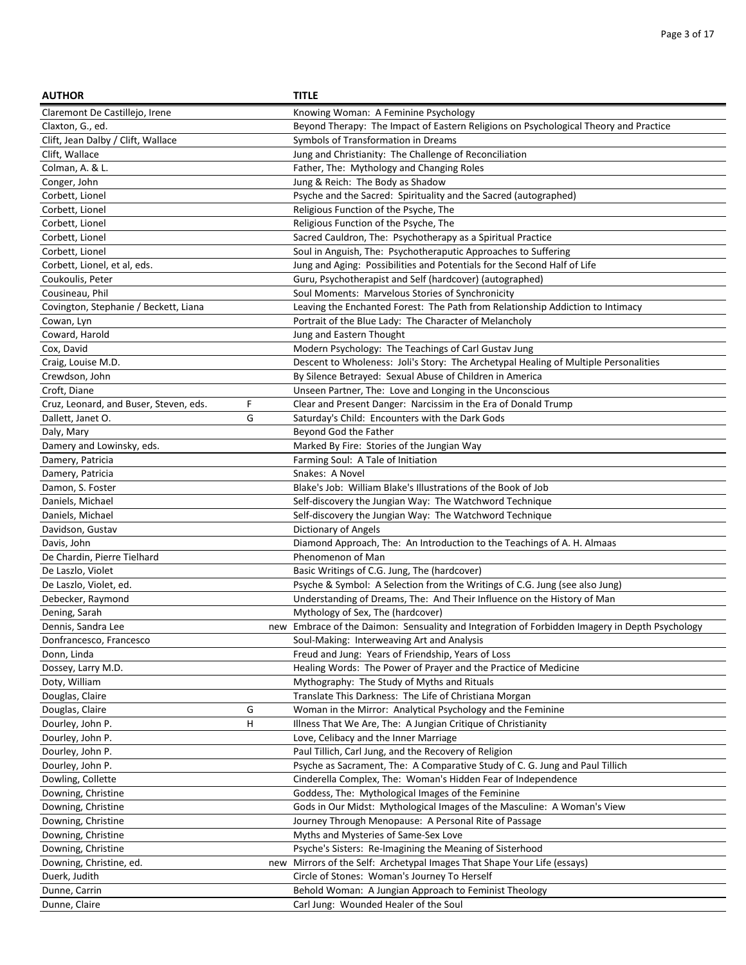| <b>AUTHOR</b>                          |   | <b>TITLE</b>                                                                                   |
|----------------------------------------|---|------------------------------------------------------------------------------------------------|
| Claremont De Castillejo, Irene         |   | Knowing Woman: A Feminine Psychology                                                           |
| Claxton, G., ed.                       |   | Beyond Therapy: The Impact of Eastern Religions on Psychological Theory and Practice           |
| Clift, Jean Dalby / Clift, Wallace     |   | Symbols of Transformation in Dreams                                                            |
| Clift, Wallace                         |   | Jung and Christianity: The Challenge of Reconciliation                                         |
| Colman, A. & L.                        |   | Father, The: Mythology and Changing Roles                                                      |
| Conger, John                           |   | Jung & Reich: The Body as Shadow                                                               |
| Corbett, Lionel                        |   | Psyche and the Sacred: Spirituality and the Sacred (autographed)                               |
| Corbett, Lionel                        |   | Religious Function of the Psyche, The                                                          |
| Corbett, Lionel                        |   | Religious Function of the Psyche, The                                                          |
| Corbett, Lionel                        |   | Sacred Cauldron, The: Psychotherapy as a Spiritual Practice                                    |
| Corbett, Lionel                        |   | Soul in Anguish, The: Psychotheraputic Approaches to Suffering                                 |
| Corbett, Lionel, et al, eds.           |   | Jung and Aging: Possibilities and Potentials for the Second Half of Life                       |
| Coukoulis, Peter                       |   | Guru, Psychotherapist and Self (hardcover) (autographed)                                       |
| Cousineau, Phil                        |   | Soul Moments: Marvelous Stories of Synchronicity                                               |
| Covington, Stephanie / Beckett, Liana  |   | Leaving the Enchanted Forest: The Path from Relationship Addiction to Intimacy                 |
| Cowan, Lyn                             |   | Portrait of the Blue Lady: The Character of Melancholy                                         |
| Coward, Harold                         |   | Jung and Eastern Thought                                                                       |
| Cox, David                             |   | Modern Psychology: The Teachings of Carl Gustav Jung                                           |
| Craig, Louise M.D.                     |   | Descent to Wholeness: Joli's Story: The Archetypal Healing of Multiple Personalities           |
| Crewdson, John                         |   | By Silence Betrayed: Sexual Abuse of Children in America                                       |
| Croft, Diane                           |   | Unseen Partner, The: Love and Longing in the Unconscious                                       |
| Cruz, Leonard, and Buser, Steven, eds. | F | Clear and Present Danger: Narcissim in the Era of Donald Trump                                 |
| Dallett, Janet O.                      | G | Saturday's Child: Encounters with the Dark Gods                                                |
| Daly, Mary                             |   | Beyond God the Father                                                                          |
| Damery and Lowinsky, eds.              |   | Marked By Fire: Stories of the Jungian Way                                                     |
| Damery, Patricia                       |   | Farming Soul: A Tale of Initiation                                                             |
| Damery, Patricia                       |   | Snakes: A Novel                                                                                |
| Damon, S. Foster                       |   | Blake's Job: William Blake's Illustrations of the Book of Job                                  |
| Daniels, Michael                       |   | Self-discovery the Jungian Way: The Watchword Technique                                        |
| Daniels, Michael                       |   | Self-discovery the Jungian Way: The Watchword Technique                                        |
| Davidson, Gustav                       |   | Dictionary of Angels                                                                           |
| Davis, John                            |   | Diamond Approach, The: An Introduction to the Teachings of A. H. Almaas                        |
| De Chardin, Pierre Tielhard            |   | Phenomenon of Man                                                                              |
| De Laszlo, Violet                      |   | Basic Writings of C.G. Jung, The (hardcover)                                                   |
| De Laszlo, Violet, ed.                 |   | Psyche & Symbol: A Selection from the Writings of C.G. Jung (see also Jung)                    |
| Debecker, Raymond                      |   | Understanding of Dreams, The: And Their Influence on the History of Man                        |
| Dening, Sarah                          |   | Mythology of Sex, The (hardcover)                                                              |
| Dennis, Sandra Lee                     |   | new Embrace of the Daimon: Sensuality and Integration of Forbidden Imagery in Depth Psychology |
| Donfrancesco, Francesco                |   | Soul-Making: Interweaving Art and Analysis                                                     |
| Donn, Linda                            |   | Freud and Jung: Years of Friendship, Years of Loss                                             |
| Dossey, Larry M.D.                     |   | Healing Words: The Power of Prayer and the Practice of Medicine                                |
| Doty, William                          |   | Mythography: The Study of Myths and Rituals                                                    |
| Douglas, Claire                        |   | Translate This Darkness: The Life of Christiana Morgan                                         |
| Douglas, Claire                        | G | Woman in the Mirror: Analytical Psychology and the Feminine                                    |
| Dourley, John P.                       | н | Illness That We Are, The: A Jungian Critique of Christianity                                   |
| Dourley, John P.                       |   | Love, Celibacy and the Inner Marriage                                                          |
| Dourley, John P.                       |   | Paul Tillich, Carl Jung, and the Recovery of Religion                                          |
| Dourley, John P.                       |   | Psyche as Sacrament, The: A Comparative Study of C. G. Jung and Paul Tillich                   |
| Dowling, Collette                      |   | Cinderella Complex, The: Woman's Hidden Fear of Independence                                   |
| Downing, Christine                     |   | Goddess, The: Mythological Images of the Feminine                                              |
| Downing, Christine                     |   | Gods in Our Midst: Mythological Images of the Masculine: A Woman's View                        |
| Downing, Christine                     |   | Journey Through Menopause: A Personal Rite of Passage                                          |
| Downing, Christine                     |   | Myths and Mysteries of Same-Sex Love                                                           |
| Downing, Christine                     |   | Psyche's Sisters: Re-Imagining the Meaning of Sisterhood                                       |
| Downing, Christine, ed.                |   | new Mirrors of the Self: Archetypal Images That Shape Your Life (essays)                       |
| Duerk, Judith                          |   | Circle of Stones: Woman's Journey To Herself                                                   |
| Dunne, Carrin                          |   | Behold Woman: A Jungian Approach to Feminist Theology                                          |
| Dunne, Claire                          |   | Carl Jung: Wounded Healer of the Soul                                                          |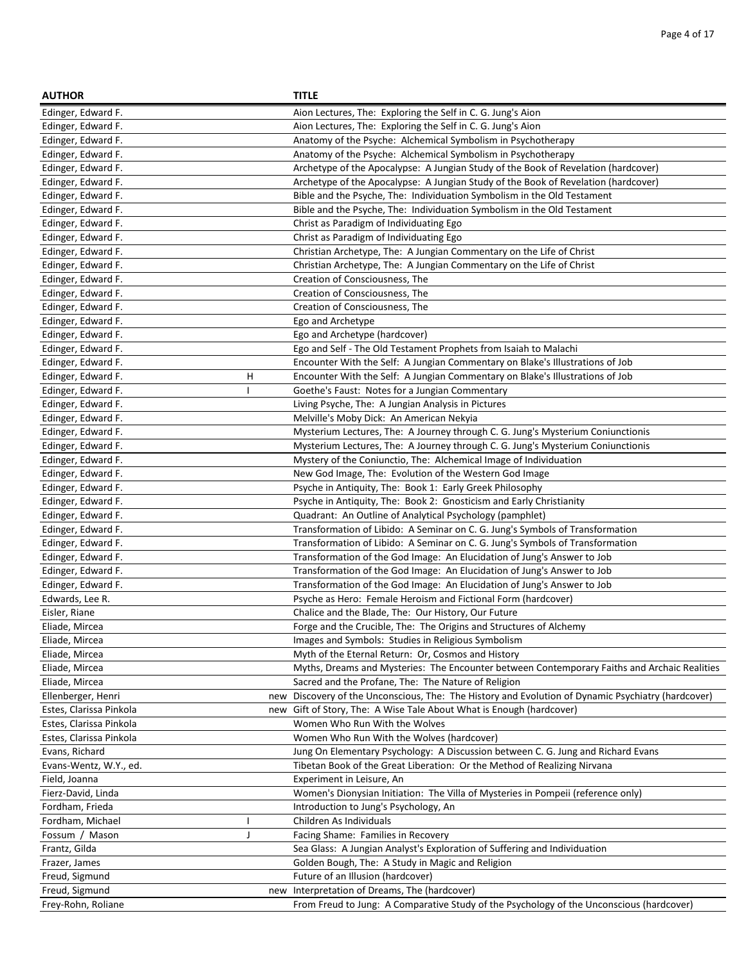| <b>AUTHOR</b>           |     | <b>TITLE</b>                                                                                   |
|-------------------------|-----|------------------------------------------------------------------------------------------------|
| Edinger, Edward F.      |     | Aion Lectures, The: Exploring the Self in C. G. Jung's Aion                                    |
| Edinger, Edward F.      |     | Aion Lectures, The: Exploring the Self in C. G. Jung's Aion                                    |
| Edinger, Edward F.      |     | Anatomy of the Psyche: Alchemical Symbolism in Psychotherapy                                   |
| Edinger, Edward F.      |     | Anatomy of the Psyche: Alchemical Symbolism in Psychotherapy                                   |
| Edinger, Edward F.      |     | Archetype of the Apocalypse: A Jungian Study of the Book of Revelation (hardcover)             |
| Edinger, Edward F.      |     | Archetype of the Apocalypse: A Jungian Study of the Book of Revelation (hardcover)             |
| Edinger, Edward F.      |     | Bible and the Psyche, The: Individuation Symbolism in the Old Testament                        |
| Edinger, Edward F.      |     | Bible and the Psyche, The: Individuation Symbolism in the Old Testament                        |
| Edinger, Edward F.      |     | Christ as Paradigm of Individuating Ego                                                        |
| Edinger, Edward F.      |     | Christ as Paradigm of Individuating Ego                                                        |
| Edinger, Edward F.      |     | Christian Archetype, The: A Jungian Commentary on the Life of Christ                           |
| Edinger, Edward F.      |     | Christian Archetype, The: A Jungian Commentary on the Life of Christ                           |
| Edinger, Edward F.      |     | Creation of Consciousness, The                                                                 |
| Edinger, Edward F.      |     | Creation of Consciousness, The                                                                 |
| Edinger, Edward F.      |     | Creation of Consciousness, The                                                                 |
| Edinger, Edward F.      |     | Ego and Archetype                                                                              |
| Edinger, Edward F.      |     | Ego and Archetype (hardcover)                                                                  |
| Edinger, Edward F.      |     | Ego and Self - The Old Testament Prophets from Isaiah to Malachi                               |
| Edinger, Edward F.      |     | Encounter With the Self: A Jungian Commentary on Blake's Illustrations of Job                  |
| Edinger, Edward F.      | н   | Encounter With the Self: A Jungian Commentary on Blake's Illustrations of Job                  |
| Edinger, Edward F.      |     | Goethe's Faust: Notes for a Jungian Commentary                                                 |
| Edinger, Edward F.      |     | Living Psyche, The: A Jungian Analysis in Pictures                                             |
| Edinger, Edward F.      |     | Melville's Moby Dick: An American Nekyia                                                       |
| Edinger, Edward F.      |     | Mysterium Lectures, The: A Journey through C. G. Jung's Mysterium Coniunctionis                |
| Edinger, Edward F.      |     | Mysterium Lectures, The: A Journey through C. G. Jung's Mysterium Coniunctionis                |
| Edinger, Edward F.      |     | Mystery of the Coniunctio, The: Alchemical Image of Individuation                              |
| Edinger, Edward F.      |     | New God Image, The: Evolution of the Western God Image                                         |
| Edinger, Edward F.      |     | Psyche in Antiquity, The: Book 1: Early Greek Philosophy                                       |
| Edinger, Edward F.      |     | Psyche in Antiquity, The: Book 2: Gnosticism and Early Christianity                            |
| Edinger, Edward F.      |     | Quadrant: An Outline of Analytical Psychology (pamphlet)                                       |
| Edinger, Edward F.      |     | Transformation of Libido: A Seminar on C. G. Jung's Symbols of Transformation                  |
| Edinger, Edward F.      |     | Transformation of Libido: A Seminar on C. G. Jung's Symbols of Transformation                  |
| Edinger, Edward F.      |     | Transformation of the God Image: An Elucidation of Jung's Answer to Job                        |
| Edinger, Edward F.      |     | Transformation of the God Image: An Elucidation of Jung's Answer to Job                        |
| Edinger, Edward F.      |     | Transformation of the God Image: An Elucidation of Jung's Answer to Job                        |
| Edwards, Lee R.         |     | Psyche as Hero: Female Heroism and Fictional Form (hardcover)                                  |
| Eisler, Riane           |     | Chalice and the Blade, The: Our History, Our Future                                            |
| Eliade, Mircea          |     | Forge and the Crucible, The: The Origins and Structures of Alchemy                             |
| Eliade, Mircea          |     | Images and Symbols: Studies in Religious Symbolism                                             |
| Eliade, Mircea          |     | Myth of the Eternal Return: Or, Cosmos and History                                             |
| Eliade, Mircea          |     | Myths, Dreams and Mysteries: The Encounter between Contemporary Faiths and Archaic Realities   |
| Eliade, Mircea          |     | Sacred and the Profane, The: The Nature of Religion                                            |
| Ellenberger, Henri      | new | Discovery of the Unconscious, The: The History and Evolution of Dynamic Psychiatry (hardcover) |
| Estes, Clarissa Pinkola |     | new Gift of Story, The: A Wise Tale About What is Enough (hardcover)                           |
| Estes, Clarissa Pinkola |     | Women Who Run With the Wolves                                                                  |
| Estes, Clarissa Pinkola |     | Women Who Run With the Wolves (hardcover)                                                      |
| Evans, Richard          |     | Jung On Elementary Psychology: A Discussion between C. G. Jung and Richard Evans               |
| Evans-Wentz, W.Y., ed.  |     | Tibetan Book of the Great Liberation: Or the Method of Realizing Nirvana                       |
| Field, Joanna           |     | Experiment in Leisure, An                                                                      |
| Fierz-David, Linda      |     | Women's Dionysian Initiation: The Villa of Mysteries in Pompeii (reference only)               |
| Fordham, Frieda         |     | Introduction to Jung's Psychology, An                                                          |
| Fordham, Michael        |     | Children As Individuals                                                                        |
| Fossum / Mason          | J   | Facing Shame: Families in Recovery                                                             |
| Frantz, Gilda           |     | Sea Glass: A Jungian Analyst's Exploration of Suffering and Individuation                      |
| Frazer, James           |     | Golden Bough, The: A Study in Magic and Religion                                               |
| Freud, Sigmund          |     | Future of an Illusion (hardcover)                                                              |
| Freud, Sigmund          | new | Interpretation of Dreams, The (hardcover)                                                      |
| Frey-Rohn, Roliane      |     | From Freud to Jung: A Comparative Study of the Psychology of the Unconscious (hardcover)       |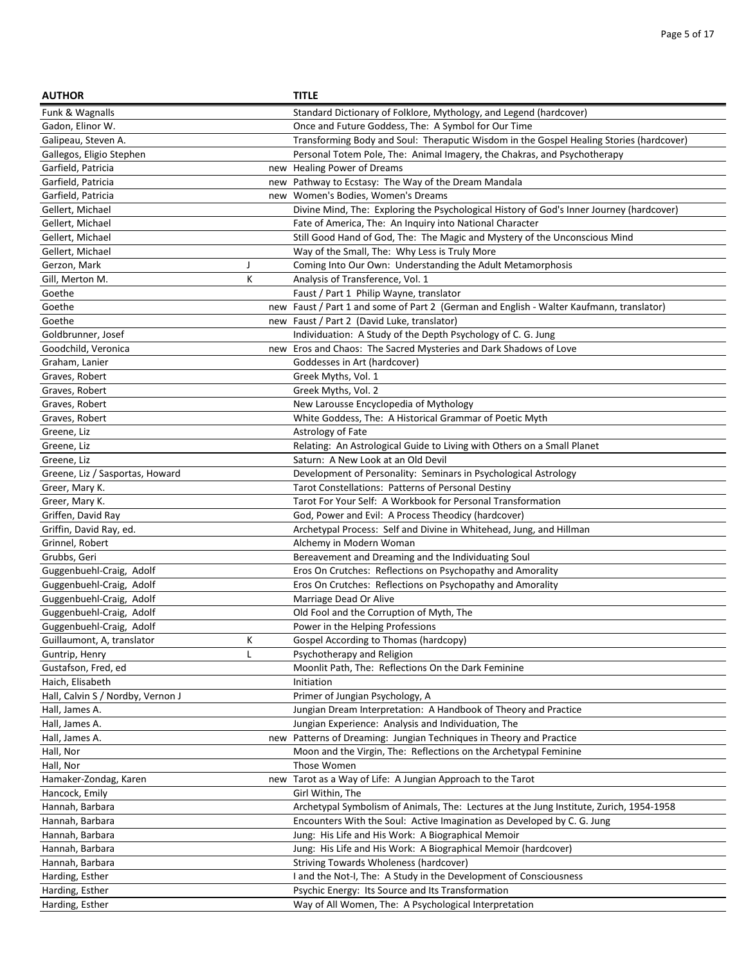| <b>AUTHOR</b>                     |     | <b>TITLE</b>                                                                             |
|-----------------------------------|-----|------------------------------------------------------------------------------------------|
| Funk & Wagnalls                   |     | Standard Dictionary of Folklore, Mythology, and Legend (hardcover)                       |
| Gadon, Elinor W.                  |     | Once and Future Goddess, The: A Symbol for Our Time                                      |
| Galipeau, Steven A.               |     | Transforming Body and Soul: Theraputic Wisdom in the Gospel Healing Stories (hardcover)  |
| Gallegos, Eligio Stephen          |     | Personal Totem Pole, The: Animal Imagery, the Chakras, and Psychotherapy                 |
| Garfield, Patricia                |     | new Healing Power of Dreams                                                              |
| Garfield, Patricia                |     | new Pathway to Ecstasy: The Way of the Dream Mandala                                     |
| Garfield, Patricia                |     | new Women's Bodies, Women's Dreams                                                       |
| Gellert, Michael                  |     | Divine Mind, The: Exploring the Psychological History of God's Inner Journey (hardcover) |
| Gellert, Michael                  |     | Fate of America, The: An Inquiry into National Character                                 |
| Gellert, Michael                  |     | Still Good Hand of God, The: The Magic and Mystery of the Unconscious Mind               |
| Gellert, Michael                  |     | Way of the Small, The: Why Less is Truly More                                            |
| Gerzon, Mark                      | J   | Coming Into Our Own: Understanding the Adult Metamorphosis                               |
| Gill, Merton M.                   | К   | Analysis of Transference, Vol. 1                                                         |
| Goethe                            |     | Faust / Part 1 Philip Wayne, translator                                                  |
| Goethe                            |     | new Faust / Part 1 and some of Part 2 (German and English - Walter Kaufmann, translator) |
| Goethe                            |     | new Faust / Part 2 (David Luke, translator)                                              |
| Goldbrunner, Josef                |     | Individuation: A Study of the Depth Psychology of C. G. Jung                             |
| Goodchild, Veronica               | new | Eros and Chaos: The Sacred Mysteries and Dark Shadows of Love                            |
| Graham, Lanier                    |     | Goddesses in Art (hardcover)                                                             |
| Graves, Robert                    |     | Greek Myths, Vol. 1                                                                      |
| Graves, Robert                    |     | Greek Myths, Vol. 2                                                                      |
| Graves, Robert                    |     | New Larousse Encyclopedia of Mythology                                                   |
| Graves, Robert                    |     | White Goddess, The: A Historical Grammar of Poetic Myth                                  |
| Greene, Liz                       |     | Astrology of Fate                                                                        |
| Greene, Liz                       |     | Relating: An Astrological Guide to Living with Others on a Small Planet                  |
| Greene, Liz                       |     | Saturn: A New Look at an Old Devil                                                       |
| Greene, Liz / Sasportas, Howard   |     | Development of Personality: Seminars in Psychological Astrology                          |
| Greer, Mary K.                    |     | Tarot Constellations: Patterns of Personal Destiny                                       |
| Greer, Mary K.                    |     | Tarot For Your Self: A Workbook for Personal Transformation                              |
| Griffen, David Ray                |     | God, Power and Evil: A Process Theodicy (hardcover)                                      |
| Griffin, David Ray, ed.           |     | Archetypal Process: Self and Divine in Whitehead, Jung, and Hillman                      |
| Grinnel, Robert                   |     | Alchemy in Modern Woman                                                                  |
| Grubbs, Geri                      |     | Bereavement and Dreaming and the Individuating Soul                                      |
| Guggenbuehl-Craig, Adolf          |     | Eros On Crutches: Reflections on Psychopathy and Amorality                               |
| Guggenbuehl-Craig, Adolf          |     | Eros On Crutches: Reflections on Psychopathy and Amorality                               |
| Guggenbuehl-Craig, Adolf          |     | Marriage Dead Or Alive                                                                   |
| Guggenbuehl-Craig, Adolf          |     | Old Fool and the Corruption of Myth, The                                                 |
| Guggenbuehl-Craig, Adolf          |     | Power in the Helping Professions                                                         |
| Guillaumont, A, translator        | Κ   | Gospel According to Thomas (hardcopy)                                                    |
| Guntrip, Henry                    | L   | Psychotherapy and Religion                                                               |
| Gustafson, Fred, ed               |     | Moonlit Path, The: Reflections On the Dark Feminine                                      |
| Haich, Elisabeth                  |     | Initiation                                                                               |
| Hall, Calvin S / Nordby, Vernon J |     | Primer of Jungian Psychology, A                                                          |
| Hall, James A.                    |     | Jungian Dream Interpretation: A Handbook of Theory and Practice                          |
| Hall, James A.                    |     | Jungian Experience: Analysis and Individuation, The                                      |
| Hall, James A.                    |     | new Patterns of Dreaming: Jungian Techniques in Theory and Practice                      |
| Hall, Nor                         |     | Moon and the Virgin, The: Reflections on the Archetypal Feminine                         |
| Hall, Nor                         |     | Those Women                                                                              |
| Hamaker-Zondag, Karen             | new | Tarot as a Way of Life: A Jungian Approach to the Tarot                                  |
| Hancock, Emily                    |     | Girl Within, The                                                                         |
| Hannah, Barbara                   |     | Archetypal Symbolism of Animals, The: Lectures at the Jung Institute, Zurich, 1954-1958  |
| Hannah, Barbara                   |     | Encounters With the Soul: Active Imagination as Developed by C. G. Jung                  |
| Hannah, Barbara                   |     | Jung: His Life and His Work: A Biographical Memoir                                       |
| Hannah, Barbara                   |     | Jung: His Life and His Work: A Biographical Memoir (hardcover)                           |
| Hannah, Barbara                   |     | Striving Towards Wholeness (hardcover)                                                   |
| Harding, Esther                   |     | I and the Not-I, The: A Study in the Development of Consciousness                        |
| Harding, Esther                   |     | Psychic Energy: Its Source and Its Transformation                                        |
| Harding, Esther                   |     | Way of All Women, The: A Psychological Interpretation                                    |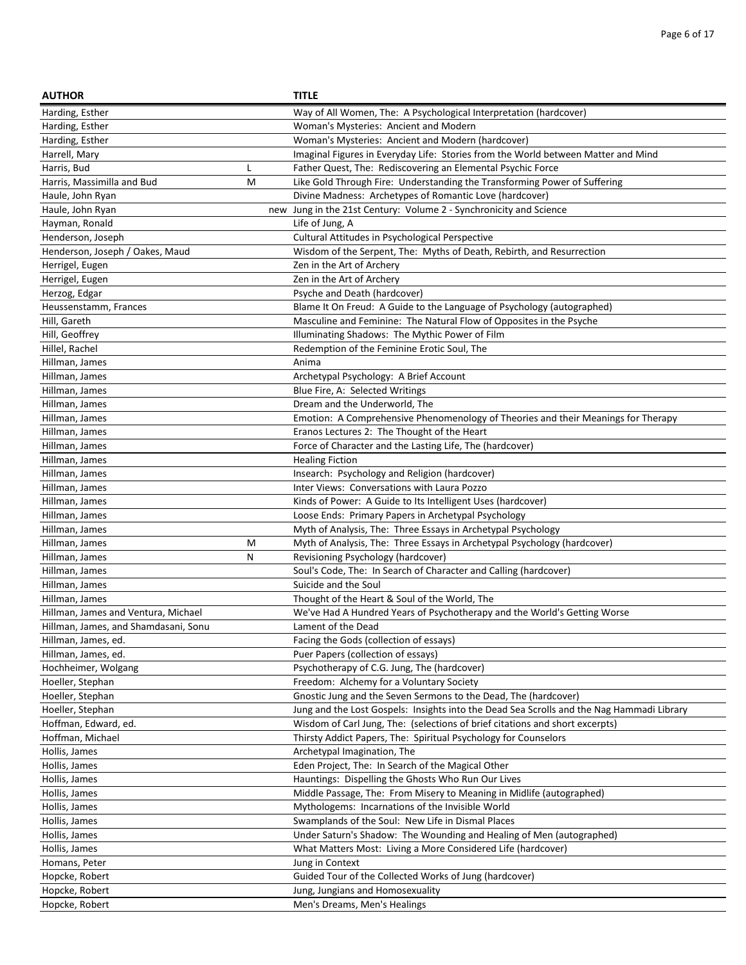| <b>AUTHOR</b>                        |     | <b>TITLE</b>                                                                              |
|--------------------------------------|-----|-------------------------------------------------------------------------------------------|
| Harding, Esther                      |     | Way of All Women, The: A Psychological Interpretation (hardcover)                         |
| Harding, Esther                      |     | Woman's Mysteries: Ancient and Modern                                                     |
| Harding, Esther                      |     | Woman's Mysteries: Ancient and Modern (hardcover)                                         |
| Harrell, Mary                        |     | Imaginal Figures in Everyday Life: Stories from the World between Matter and Mind         |
| Harris, Bud                          | L   | Father Quest, The: Rediscovering an Elemental Psychic Force                               |
| Harris, Massimilla and Bud           | M   | Like Gold Through Fire: Understanding the Transforming Power of Suffering                 |
| Haule, John Ryan                     |     | Divine Madness: Archetypes of Romantic Love (hardcover)                                   |
| Haule, John Ryan                     | new | Jung in the 21st Century: Volume 2 - Synchronicity and Science                            |
| Hayman, Ronald                       |     | Life of Jung, A                                                                           |
| Henderson, Joseph                    |     | Cultural Attitudes in Psychological Perspective                                           |
| Henderson, Joseph / Oakes, Maud      |     | Wisdom of the Serpent, The: Myths of Death, Rebirth, and Resurrection                     |
| Herrigel, Eugen                      |     | Zen in the Art of Archery                                                                 |
| Herrigel, Eugen                      |     | Zen in the Art of Archery                                                                 |
| Herzog, Edgar                        |     | Psyche and Death (hardcover)                                                              |
| Heussenstamm, Frances                |     | Blame It On Freud: A Guide to the Language of Psychology (autographed)                    |
| Hill, Gareth                         |     | Masculine and Feminine: The Natural Flow of Opposites in the Psyche                       |
| Hill, Geoffrey                       |     | Illuminating Shadows: The Mythic Power of Film                                            |
| Hillel, Rachel                       |     | Redemption of the Feminine Erotic Soul, The                                               |
| Hillman, James                       |     | Anima                                                                                     |
| Hillman, James                       |     | Archetypal Psychology: A Brief Account                                                    |
| Hillman, James                       |     | Blue Fire, A: Selected Writings                                                           |
| Hillman, James                       |     | Dream and the Underworld, The                                                             |
| Hillman, James                       |     | Emotion: A Comprehensive Phenomenology of Theories and their Meanings for Therapy         |
| Hillman, James                       |     | Eranos Lectures 2: The Thought of the Heart                                               |
| Hillman, James                       |     | Force of Character and the Lasting Life, The (hardcover)                                  |
| Hillman, James                       |     | <b>Healing Fiction</b>                                                                    |
| Hillman, James                       |     | Insearch: Psychology and Religion (hardcover)                                             |
| Hillman, James                       |     | Inter Views: Conversations with Laura Pozzo                                               |
| Hillman, James                       |     | Kinds of Power: A Guide to Its Intelligent Uses (hardcover)                               |
| Hillman, James                       |     | Loose Ends: Primary Papers in Archetypal Psychology                                       |
| Hillman, James                       |     | Myth of Analysis, The: Three Essays in Archetypal Psychology                              |
| Hillman, James                       | M   | Myth of Analysis, The: Three Essays in Archetypal Psychology (hardcover)                  |
| Hillman, James                       | N   | Revisioning Psychology (hardcover)                                                        |
| Hillman, James                       |     | Soul's Code, The: In Search of Character and Calling (hardcover)                          |
| Hillman, James                       |     | Suicide and the Soul                                                                      |
| Hillman, James                       |     | Thought of the Heart & Soul of the World, The                                             |
| Hillman, James and Ventura, Michael  |     | We've Had A Hundred Years of Psychotherapy and the World's Getting Worse                  |
| Hillman, James, and Shamdasani, Sonu |     | Lament of the Dead                                                                        |
| Hillman, James, ed.                  |     | Facing the Gods (collection of essays)                                                    |
| Hillman, James, ed.                  |     | Puer Papers (collection of essays)                                                        |
| Hochheimer, Wolgang                  |     | Psychotherapy of C.G. Jung, The (hardcover)                                               |
| Hoeller, Stephan                     |     | Freedom: Alchemy for a Voluntary Society                                                  |
| Hoeller, Stephan                     |     | Gnostic Jung and the Seven Sermons to the Dead, The (hardcover)                           |
| Hoeller, Stephan                     |     | Jung and the Lost Gospels: Insights into the Dead Sea Scrolls and the Nag Hammadi Library |
| Hoffman, Edward, ed.                 |     | Wisdom of Carl Jung, The: (selections of brief citations and short excerpts)              |
| Hoffman, Michael                     |     | Thirsty Addict Papers, The: Spiritual Psychology for Counselors                           |
| Hollis, James                        |     | Archetypal Imagination, The                                                               |
| Hollis, James                        |     | Eden Project, The: In Search of the Magical Other                                         |
| Hollis, James                        |     | Hauntings: Dispelling the Ghosts Who Run Our Lives                                        |
| Hollis, James                        |     | Middle Passage, The: From Misery to Meaning in Midlife (autographed)                      |
| Hollis, James                        |     | Mythologems: Incarnations of the Invisible World                                          |
| Hollis, James                        |     | Swamplands of the Soul: New Life in Dismal Places                                         |
| Hollis, James                        |     | Under Saturn's Shadow: The Wounding and Healing of Men (autographed)                      |
| Hollis, James                        |     | What Matters Most: Living a More Considered Life (hardcover)                              |
| Homans, Peter                        |     | Jung in Context                                                                           |
| Hopcke, Robert                       |     | Guided Tour of the Collected Works of Jung (hardcover)                                    |
| Hopcke, Robert                       |     | Jung, Jungians and Homosexuality                                                          |
| Hopcke, Robert                       |     | Men's Dreams, Men's Healings                                                              |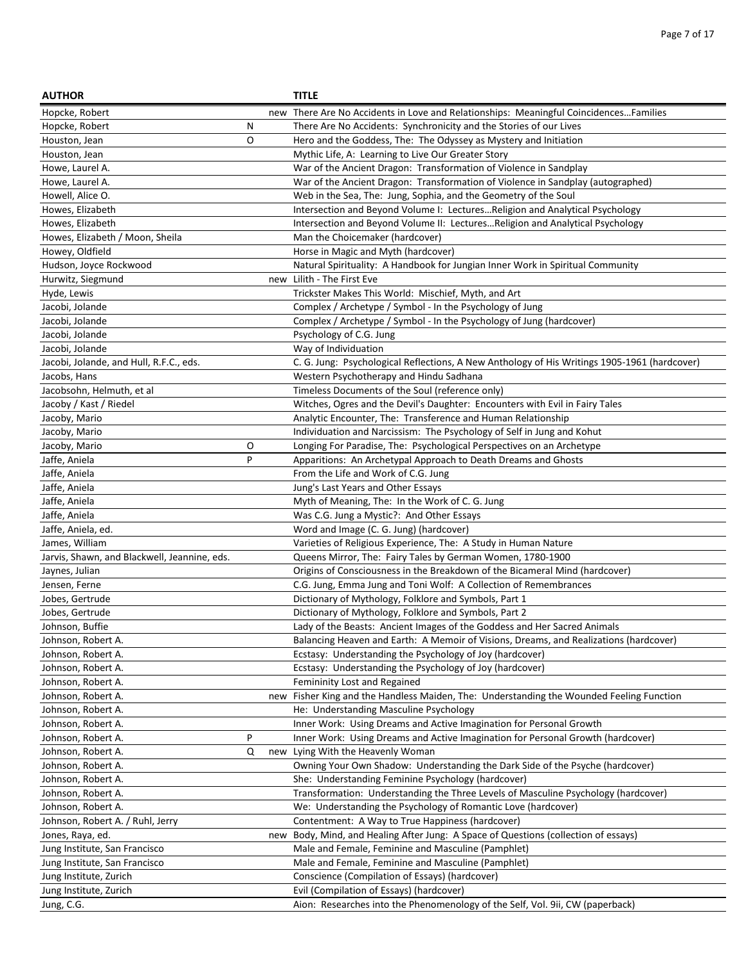| <b>AUTHOR</b>                                |   |     | <b>TITLE</b>                                                                                 |
|----------------------------------------------|---|-----|----------------------------------------------------------------------------------------------|
| Hopcke, Robert                               |   |     | new There Are No Accidents in Love and Relationships: Meaningful CoincidencesFamilies        |
| Hopcke, Robert                               | Ν |     | There Are No Accidents: Synchronicity and the Stories of our Lives                           |
| Houston, Jean                                | O |     | Hero and the Goddess, The: The Odyssey as Mystery and Initiation                             |
| Houston, Jean                                |   |     | Mythic Life, A: Learning to Live Our Greater Story                                           |
| Howe, Laurel A.                              |   |     | War of the Ancient Dragon: Transformation of Violence in Sandplay                            |
| Howe, Laurel A.                              |   |     | War of the Ancient Dragon: Transformation of Violence in Sandplay (autographed)              |
| Howell, Alice O.                             |   |     | Web in the Sea, The: Jung, Sophia, and the Geometry of the Soul                              |
| Howes, Elizabeth                             |   |     | Intersection and Beyond Volume I: LecturesReligion and Analytical Psychology                 |
| Howes, Elizabeth                             |   |     | Intersection and Beyond Volume II: LecturesReligion and Analytical Psychology                |
| Howes, Elizabeth / Moon, Sheila              |   |     | Man the Choicemaker (hardcover)                                                              |
| Howey, Oldfield                              |   |     | Horse in Magic and Myth (hardcover)                                                          |
| Hudson, Joyce Rockwood                       |   |     | Natural Spirituality: A Handbook for Jungian Inner Work in Spiritual Community               |
| Hurwitz, Siegmund                            |   |     | new Lilith - The First Eve                                                                   |
| Hyde, Lewis                                  |   |     | Trickster Makes This World: Mischief, Myth, and Art                                          |
| Jacobi, Jolande                              |   |     | Complex / Archetype / Symbol - In the Psychology of Jung                                     |
| Jacobi, Jolande                              |   |     | Complex / Archetype / Symbol - In the Psychology of Jung (hardcover)                         |
| Jacobi, Jolande                              |   |     | Psychology of C.G. Jung                                                                      |
| Jacobi, Jolande                              |   |     | Way of Individuation                                                                         |
| Jacobi, Jolande, and Hull, R.F.C., eds.      |   |     | C. G. Jung: Psychological Reflections, A New Anthology of His Writings 1905-1961 (hardcover) |
| Jacobs, Hans                                 |   |     | Western Psychotherapy and Hindu Sadhana                                                      |
| Jacobsohn, Helmuth, et al                    |   |     | Timeless Documents of the Soul (reference only)                                              |
| Jacoby / Kast / Riedel                       |   |     | Witches, Ogres and the Devil's Daughter: Encounters with Evil in Fairy Tales                 |
| Jacoby, Mario                                |   |     | Analytic Encounter, The: Transference and Human Relationship                                 |
| Jacoby, Mario                                |   |     | Individuation and Narcissism: The Psychology of Self in Jung and Kohut                       |
| Jacoby, Mario                                | O |     | Longing For Paradise, The: Psychological Perspectives on an Archetype                        |
| Jaffe, Aniela                                | P |     | Apparitions: An Archetypal Approach to Death Dreams and Ghosts                               |
| Jaffe, Aniela                                |   |     | From the Life and Work of C.G. Jung                                                          |
| Jaffe, Aniela                                |   |     | Jung's Last Years and Other Essays                                                           |
| Jaffe, Aniela                                |   |     | Myth of Meaning, The: In the Work of C. G. Jung                                              |
| Jaffe, Aniela                                |   |     | Was C.G. Jung a Mystic?: And Other Essays                                                    |
| Jaffe, Aniela, ed.                           |   |     | Word and Image (C. G. Jung) (hardcover)                                                      |
| James, William                               |   |     | Varieties of Religious Experience, The: A Study in Human Nature                              |
| Jarvis, Shawn, and Blackwell, Jeannine, eds. |   |     | Queens Mirror, The: Fairy Tales by German Women, 1780-1900                                   |
| Jaynes, Julian                               |   |     | Origins of Consciousness in the Breakdown of the Bicameral Mind (hardcover)                  |
| Jensen, Ferne                                |   |     | C.G. Jung, Emma Jung and Toni Wolf: A Collection of Remembrances                             |
| Jobes, Gertrude                              |   |     | Dictionary of Mythology, Folklore and Symbols, Part 1                                        |
| Jobes, Gertrude                              |   |     | Dictionary of Mythology, Folklore and Symbols, Part 2                                        |
| Johnson, Buffie                              |   |     | Lady of the Beasts: Ancient Images of the Goddess and Her Sacred Animals                     |
| Johnson, Robert A.                           |   |     | Balancing Heaven and Earth: A Memoir of Visions, Dreams, and Realizations (hardcover)        |
| Johnson, Robert A.                           |   |     | Ecstasy: Understanding the Psychology of Joy (hardcover)                                     |
| Johnson, Robert A.                           |   |     | Ecstasy: Understanding the Psychology of Joy (hardcover)                                     |
| Johnson, Robert A.                           |   |     | Femininity Lost and Regained                                                                 |
| Johnson, Robert A.                           |   | new | Fisher King and the Handless Maiden, The: Understanding the Wounded Feeling Function         |
| Johnson, Robert A.                           |   |     | He: Understanding Masculine Psychology                                                       |
| Johnson, Robert A.                           |   |     | Inner Work: Using Dreams and Active Imagination for Personal Growth                          |
| Johnson, Robert A.                           | P |     | Inner Work: Using Dreams and Active Imagination for Personal Growth (hardcover)              |
| Johnson, Robert A.                           | Q |     | new Lying With the Heavenly Woman                                                            |
| Johnson, Robert A.                           |   |     | Owning Your Own Shadow: Understanding the Dark Side of the Psyche (hardcover)                |
| Johnson, Robert A.                           |   |     | She: Understanding Feminine Psychology (hardcover)                                           |
| Johnson, Robert A.                           |   |     | Transformation: Understanding the Three Levels of Masculine Psychology (hardcover)           |
| Johnson, Robert A.                           |   |     | We: Understanding the Psychology of Romantic Love (hardcover)                                |
| Johnson, Robert A. / Ruhl, Jerry             |   |     | Contentment: A Way to True Happiness (hardcover)                                             |
| Jones, Raya, ed.                             |   | new | Body, Mind, and Healing After Jung: A Space of Questions (collection of essays)              |
| Jung Institute, San Francisco                |   |     | Male and Female, Feminine and Masculine (Pamphlet)                                           |
| Jung Institute, San Francisco                |   |     | Male and Female, Feminine and Masculine (Pamphlet)                                           |
| Jung Institute, Zurich                       |   |     | Conscience (Compilation of Essays) (hardcover)                                               |
| Jung Institute, Zurich                       |   |     | Evil (Compilation of Essays) (hardcover)                                                     |
| Jung, C.G.                                   |   |     | Aion: Researches into the Phenomenology of the Self, Vol. 9ii, CW (paperback)                |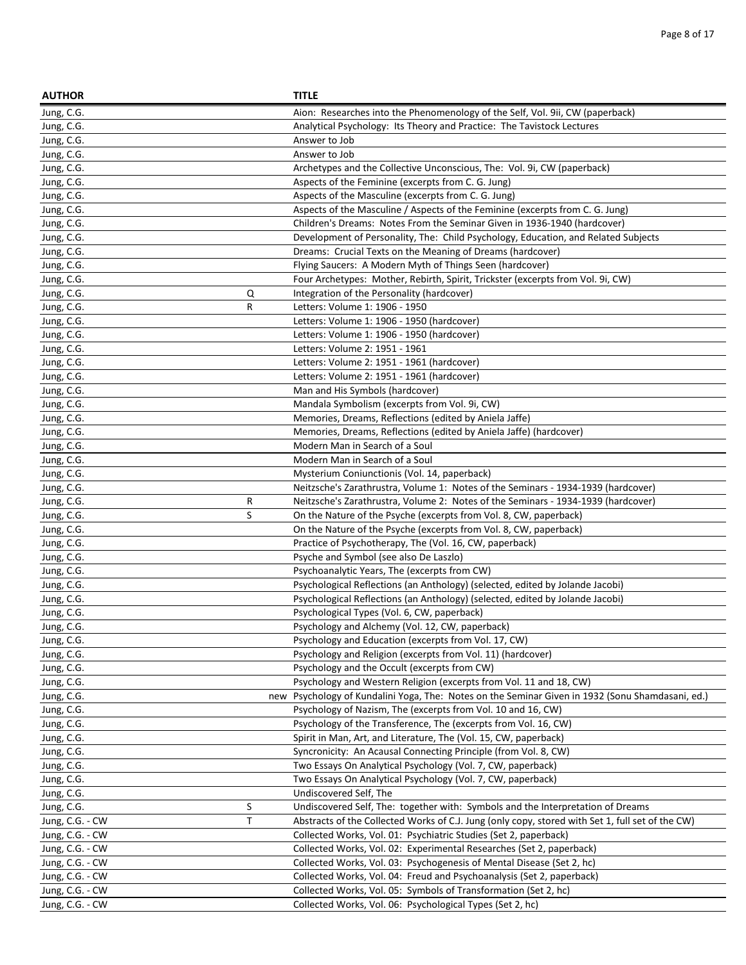| <b>AUTHOR</b>                      |     | <b>TITLE</b>                                                                                     |
|------------------------------------|-----|--------------------------------------------------------------------------------------------------|
| Jung, C.G.                         |     | Aion: Researches into the Phenomenology of the Self, Vol. 9ii, CW (paperback)                    |
| Jung, C.G.                         |     | Analytical Psychology: Its Theory and Practice: The Tavistock Lectures                           |
| Jung, C.G.                         |     | Answer to Job                                                                                    |
| Jung, C.G.                         |     | Answer to Job                                                                                    |
| Jung, C.G.                         |     | Archetypes and the Collective Unconscious, The: Vol. 9i, CW (paperback)                          |
| Jung, C.G.                         |     | Aspects of the Feminine (excerpts from C. G. Jung)                                               |
| Jung, C.G.                         |     | Aspects of the Masculine (excerpts from C. G. Jung)                                              |
| Jung, C.G.                         |     | Aspects of the Masculine / Aspects of the Feminine (excerpts from C. G. Jung)                    |
| Jung, C.G.                         |     | Children's Dreams: Notes From the Seminar Given in 1936-1940 (hardcover)                         |
| Jung, C.G.                         |     | Development of Personality, The: Child Psychology, Education, and Related Subjects               |
| Jung, C.G.                         |     | Dreams: Crucial Texts on the Meaning of Dreams (hardcover)                                       |
| Jung, C.G.                         |     | Flying Saucers: A Modern Myth of Things Seen (hardcover)                                         |
| Jung, C.G.                         |     | Four Archetypes: Mother, Rebirth, Spirit, Trickster (excerpts from Vol. 9i, CW)                  |
| Jung, C.G.<br>Q                    |     | Integration of the Personality (hardcover)                                                       |
| R<br>Jung, C.G.                    |     | Letters: Volume 1: 1906 - 1950                                                                   |
| Jung, C.G.                         |     | Letters: Volume 1: 1906 - 1950 (hardcover)                                                       |
| Jung, C.G.                         |     | Letters: Volume 1: 1906 - 1950 (hardcover)                                                       |
| Jung, C.G.                         |     | Letters: Volume 2: 1951 - 1961                                                                   |
| Jung, C.G.                         |     | Letters: Volume 2: 1951 - 1961 (hardcover)                                                       |
| Jung, C.G.                         |     | Letters: Volume 2: 1951 - 1961 (hardcover)                                                       |
| Jung, C.G.                         |     | Man and His Symbols (hardcover)                                                                  |
| Jung, C.G.                         |     | Mandala Symbolism (excerpts from Vol. 9i, CW)                                                    |
| Jung, C.G.                         |     | Memories, Dreams, Reflections (edited by Aniela Jaffe)                                           |
| Jung, C.G.                         |     | Memories, Dreams, Reflections (edited by Aniela Jaffe) (hardcover)                               |
| Jung, C.G.                         |     | Modern Man in Search of a Soul                                                                   |
| Jung, C.G.                         |     | Modern Man in Search of a Soul                                                                   |
| Jung, C.G.                         |     | Mysterium Coniunctionis (Vol. 14, paperback)                                                     |
| Jung, C.G.                         |     | Neitzsche's Zarathrustra, Volume 1: Notes of the Seminars - 1934-1939 (hardcover)                |
| $\mathsf R$<br>Jung, C.G.          |     | Neitzsche's Zarathrustra, Volume 2: Notes of the Seminars - 1934-1939 (hardcover)                |
| S<br>Jung, C.G.                    |     | On the Nature of the Psyche (excerpts from Vol. 8, CW, paperback)                                |
| Jung, C.G.                         |     | On the Nature of the Psyche (excerpts from Vol. 8, CW, paperback)                                |
| Jung, C.G.                         |     | Practice of Psychotherapy, The (Vol. 16, CW, paperback)                                          |
| Jung, C.G.                         |     | Psyche and Symbol (see also De Laszlo)                                                           |
| Jung, C.G.                         |     | Psychoanalytic Years, The (excerpts from CW)                                                     |
| Jung, C.G.                         |     | Psychological Reflections (an Anthology) (selected, edited by Jolande Jacobi)                    |
| Jung, C.G.                         |     | Psychological Reflections (an Anthology) (selected, edited by Jolande Jacobi)                    |
| Jung, C.G.                         |     | Psychological Types (Vol. 6, CW, paperback)                                                      |
| Jung, C.G.                         |     | Psychology and Alchemy (Vol. 12, CW, paperback)                                                  |
| Jung, C.G.                         |     | Psychology and Education (excerpts from Vol. 17, CW)                                             |
| Jung, C.G.                         |     | Psychology and Religion (excerpts from Vol. 11) (hardcover)                                      |
| Jung, C.G.                         |     | Psychology and the Occult (excerpts from CW)                                                     |
| Jung, C.G.                         |     | Psychology and Western Religion (excerpts from Vol. 11 and 18, CW)                               |
| Jung, C.G.                         | new | Psychology of Kundalini Yoga, The: Notes on the Seminar Given in 1932 (Sonu Shamdasani, ed.)     |
| Jung, C.G.                         |     | Psychology of Nazism, The (excerpts from Vol. 10 and 16, CW)                                     |
| Jung, C.G.                         |     | Psychology of the Transference, The (excerpts from Vol. 16, CW)                                  |
| Jung, C.G.                         |     | Spirit in Man, Art, and Literature, The (Vol. 15, CW, paperback)                                 |
| Jung, C.G.                         |     | Syncronicity: An Acausal Connecting Principle (from Vol. 8, CW)                                  |
| Jung, C.G.                         |     | Two Essays On Analytical Psychology (Vol. 7, CW, paperback)                                      |
| Jung, C.G.                         |     | Two Essays On Analytical Psychology (Vol. 7, CW, paperback)<br>Undiscovered Self, The            |
| Jung, C.G.<br>Jung, C.G.<br>S      |     | Undiscovered Self, The: together with: Symbols and the Interpretation of Dreams                  |
| T                                  |     | Abstracts of the Collected Works of C.J. Jung (only copy, stored with Set 1, full set of the CW) |
| Jung, C.G. - CW<br>Jung, C.G. - CW |     | Collected Works, Vol. 01: Psychiatric Studies (Set 2, paperback)                                 |
| Jung, C.G. - CW                    |     | Collected Works, Vol. 02: Experimental Researches (Set 2, paperback)                             |
| Jung, C.G. - CW                    |     | Collected Works, Vol. 03: Psychogenesis of Mental Disease (Set 2, hc)                            |
| Jung, C.G. - CW                    |     | Collected Works, Vol. 04: Freud and Psychoanalysis (Set 2, paperback)                            |
| Jung, C.G. - CW                    |     | Collected Works, Vol. 05: Symbols of Transformation (Set 2, hc)                                  |
| Jung, C.G. - CW                    |     | Collected Works, Vol. 06: Psychological Types (Set 2, hc)                                        |
|                                    |     |                                                                                                  |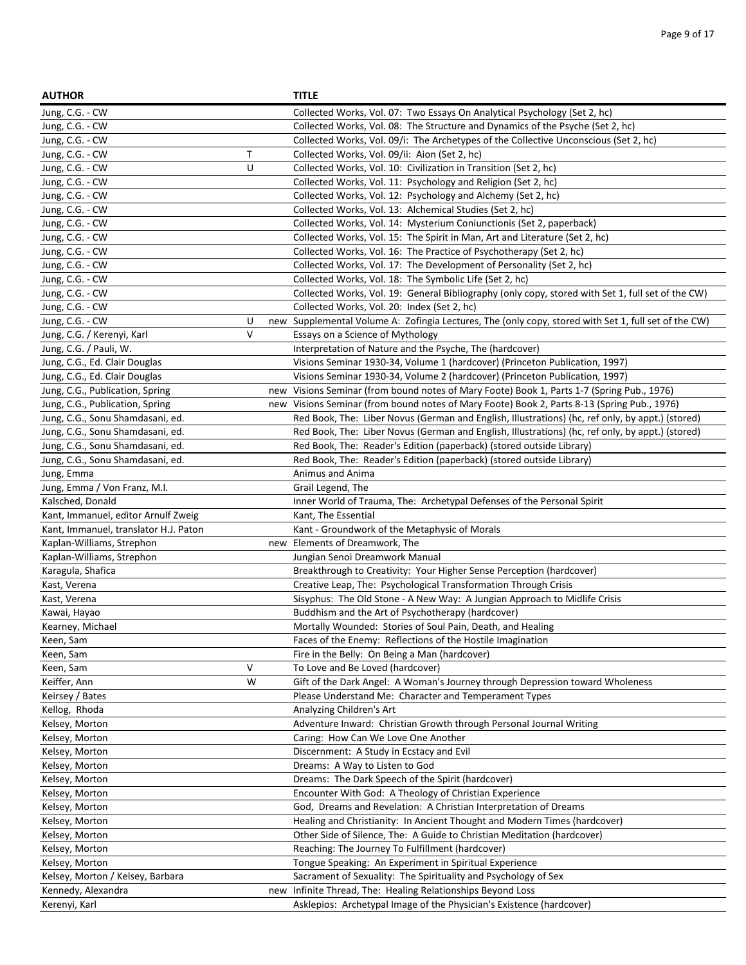| <b>AUTHOR</b>                         |              | <b>TITLE</b>                                                                                         |
|---------------------------------------|--------------|------------------------------------------------------------------------------------------------------|
| Jung, C.G. - CW                       |              | Collected Works, Vol. 07: Two Essays On Analytical Psychology (Set 2, hc)                            |
| Jung, C.G. - CW                       |              | Collected Works, Vol. 08: The Structure and Dynamics of the Psyche (Set 2, hc)                       |
| Jung, C.G. - CW                       |              | Collected Works, Vol. 09/i: The Archetypes of the Collective Unconscious (Set 2, hc)                 |
| Jung, C.G. - CW                       | $\mathsf{T}$ | Collected Works, Vol. 09/ii: Aion (Set 2, hc)                                                        |
| Jung, C.G. - CW                       | U            | Collected Works, Vol. 10: Civilization in Transition (Set 2, hc)                                     |
| Jung, C.G. - CW                       |              | Collected Works, Vol. 11: Psychology and Religion (Set 2, hc)                                        |
| Jung, C.G. - CW                       |              | Collected Works, Vol. 12: Psychology and Alchemy (Set 2, hc)                                         |
| Jung, C.G. - CW                       |              | Collected Works, Vol. 13: Alchemical Studies (Set 2, hc)                                             |
| Jung, C.G. - CW                       |              | Collected Works, Vol. 14: Mysterium Coniunctionis (Set 2, paperback)                                 |
| Jung, C.G. - CW                       |              | Collected Works, Vol. 15: The Spirit in Man, Art and Literature (Set 2, hc)                          |
| Jung, C.G. - CW                       |              | Collected Works, Vol. 16: The Practice of Psychotherapy (Set 2, hc)                                  |
| Jung, C.G. - CW                       |              | Collected Works, Vol. 17: The Development of Personality (Set 2, hc)                                 |
| Jung, C.G. - CW                       |              | Collected Works, Vol. 18: The Symbolic Life (Set 2, hc)                                              |
| Jung, C.G. - CW                       |              | Collected Works, Vol. 19: General Bibliography (only copy, stored with Set 1, full set of the CW)    |
| Jung, C.G. - CW                       |              | Collected Works, Vol. 20: Index (Set 2, hc)                                                          |
| Jung, C.G. - CW                       | U            | new Supplemental Volume A: Zofingia Lectures, The (only copy, stored with Set 1, full set of the CW) |
| Jung, C.G. / Kerenyi, Karl            | $\vee$       | Essays on a Science of Mythology                                                                     |
| Jung, C.G. / Pauli, W.                |              | Interpretation of Nature and the Psyche, The (hardcover)                                             |
| Jung, C.G., Ed. Clair Douglas         |              | Visions Seminar 1930-34, Volume 1 (hardcover) (Princeton Publication, 1997)                          |
| Jung, C.G., Ed. Clair Douglas         |              | Visions Seminar 1930-34, Volume 2 (hardcover) (Princeton Publication, 1997)                          |
| Jung, C.G., Publication, Spring       |              | new Visions Seminar (from bound notes of Mary Foote) Book 1, Parts 1-7 (Spring Pub., 1976)           |
| Jung, C.G., Publication, Spring       |              | new Visions Seminar (from bound notes of Mary Foote) Book 2, Parts 8-13 (Spring Pub., 1976)          |
| Jung, C.G., Sonu Shamdasani, ed.      |              | Red Book, The: Liber Novus (German and English, Illustrations) (hc, ref only, by appt.) (stored)     |
| Jung, C.G., Sonu Shamdasani, ed.      |              | Red Book, The: Liber Novus (German and English, Illustrations) (hc, ref only, by appt.) (stored)     |
| Jung, C.G., Sonu Shamdasani, ed.      |              | Red Book, The: Reader's Edition (paperback) (stored outside Library)                                 |
| Jung, C.G., Sonu Shamdasani, ed.      |              | Red Book, The: Reader's Edition (paperback) (stored outside Library)                                 |
| Jung, Emma                            |              | Animus and Anima                                                                                     |
| Jung, Emma / Von Franz, M.I.          |              | Grail Legend, The                                                                                    |
| Kalsched, Donald                      |              | Inner World of Trauma, The: Archetypal Defenses of the Personal Spirit                               |
| Kant, Immanuel, editor Arnulf Zweig   |              | Kant, The Essential                                                                                  |
| Kant, Immanuel, translator H.J. Paton |              | Kant - Groundwork of the Metaphysic of Morals                                                        |
| Kaplan-Williams, Strephon             |              | new Elements of Dreamwork, The                                                                       |
| Kaplan-Williams, Strephon             |              | Jungian Senoi Dreamwork Manual                                                                       |
| Karagula, Shafica                     |              | Breakthrough to Creativity: Your Higher Sense Perception (hardcover)                                 |
| Kast, Verena                          |              | Creative Leap, The: Psychological Transformation Through Crisis                                      |
| Kast, Verena                          |              | Sisyphus: The Old Stone - A New Way: A Jungian Approach to Midlife Crisis                            |
| Kawai, Hayao                          |              | Buddhism and the Art of Psychotherapy (hardcover)                                                    |
| Kearney, Michael                      |              | Mortally Wounded: Stories of Soul Pain, Death, and Healing                                           |
| Keen, Sam                             |              | Faces of the Enemy: Reflections of the Hostile Imagination                                           |
| Keen, Sam                             |              | Fire in the Belly: On Being a Man (hardcover)                                                        |
| Keen, Sam                             | $\vee$       | To Love and Be Loved (hardcover)                                                                     |
| Keiffer, Ann                          | W            | Gift of the Dark Angel: A Woman's Journey through Depression toward Wholeness                        |
| Keirsey / Bates                       |              | Please Understand Me: Character and Temperament Types                                                |
| Kellog, Rhoda                         |              | Analyzing Children's Art                                                                             |
| Kelsey, Morton                        |              | Adventure Inward: Christian Growth through Personal Journal Writing                                  |
| Kelsey, Morton                        |              | Caring: How Can We Love One Another                                                                  |
| Kelsey, Morton                        |              | Discernment: A Study in Ecstacy and Evil                                                             |
| Kelsey, Morton                        |              | Dreams: A Way to Listen to God                                                                       |
| Kelsey, Morton                        |              | Dreams: The Dark Speech of the Spirit (hardcover)                                                    |
| Kelsey, Morton                        |              | Encounter With God: A Theology of Christian Experience                                               |
| Kelsey, Morton                        |              | God, Dreams and Revelation: A Christian Interpretation of Dreams                                     |
| Kelsey, Morton                        |              | Healing and Christianity: In Ancient Thought and Modern Times (hardcover)                            |
| Kelsey, Morton                        |              | Other Side of Silence, The: A Guide to Christian Meditation (hardcover)                              |
| Kelsey, Morton                        |              | Reaching: The Journey To Fulfillment (hardcover)                                                     |
| Kelsey, Morton                        |              | Tongue Speaking: An Experiment in Spiritual Experience                                               |
| Kelsey, Morton / Kelsey, Barbara      |              | Sacrament of Sexuality: The Spirituality and Psychology of Sex                                       |
| Kennedy, Alexandra                    | new          | Infinite Thread, The: Healing Relationships Beyond Loss                                              |
| Kerenyi, Karl                         |              | Asklepios: Archetypal Image of the Physician's Existence (hardcover)                                 |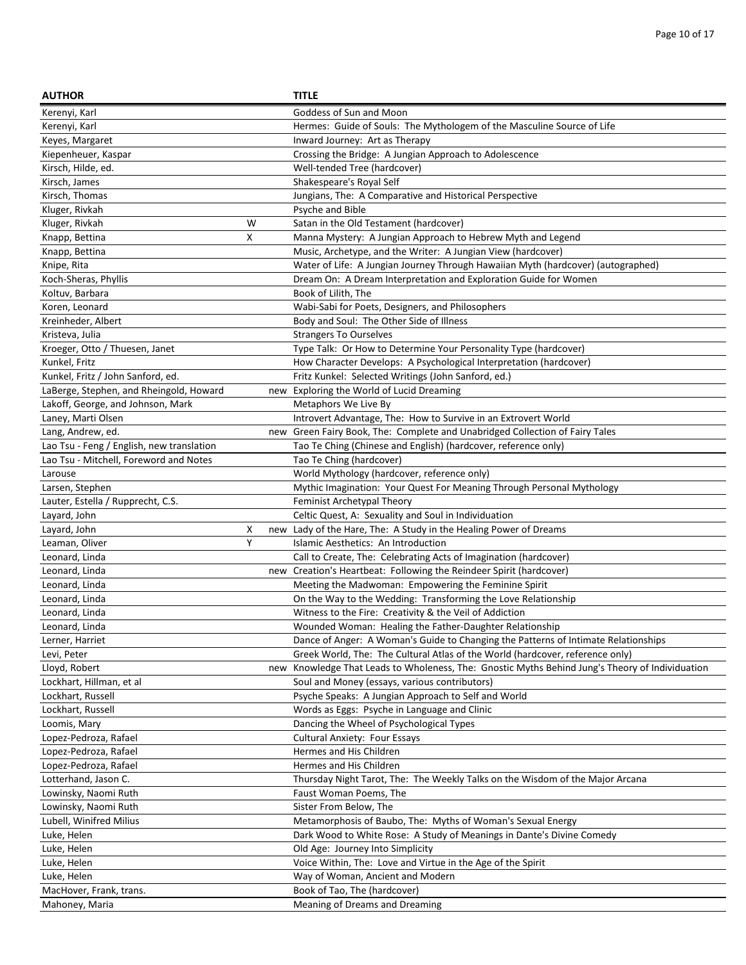| <b>AUTHOR</b>                             |   |     | <b>TITLE</b>                                                                                        |
|-------------------------------------------|---|-----|-----------------------------------------------------------------------------------------------------|
| Kerenyi, Karl                             |   |     | Goddess of Sun and Moon                                                                             |
| Kerenyi, Karl                             |   |     | Hermes: Guide of Souls: The Mythologem of the Masculine Source of Life                              |
| Keyes, Margaret                           |   |     | Inward Journey: Art as Therapy                                                                      |
| Kiepenheuer, Kaspar                       |   |     | Crossing the Bridge: A Jungian Approach to Adolescence                                              |
| Kirsch, Hilde, ed.                        |   |     | Well-tended Tree (hardcover)                                                                        |
| Kirsch, James                             |   |     | Shakespeare's Royal Self                                                                            |
| Kirsch, Thomas                            |   |     | Jungians, The: A Comparative and Historical Perspective                                             |
| Kluger, Rivkah                            |   |     | Psyche and Bible                                                                                    |
| Kluger, Rivkah                            | W |     | Satan in the Old Testament (hardcover)                                                              |
| Knapp, Bettina                            | x |     | Manna Mystery: A Jungian Approach to Hebrew Myth and Legend                                         |
| Knapp, Bettina                            |   |     | Music, Archetype, and the Writer: A Jungian View (hardcover)                                        |
| Knipe, Rita                               |   |     | Water of Life: A Jungian Journey Through Hawaiian Myth (hardcover) (autographed)                    |
| Koch-Sheras, Phyllis                      |   |     | Dream On: A Dream Interpretation and Exploration Guide for Women                                    |
| Koltuv, Barbara                           |   |     | Book of Lilith, The                                                                                 |
| Koren, Leonard                            |   |     | Wabi-Sabi for Poets, Designers, and Philosophers                                                    |
| Kreinheder, Albert                        |   |     | Body and Soul: The Other Side of Illness                                                            |
| Kristeva, Julia                           |   |     | <b>Strangers To Ourselves</b>                                                                       |
| Kroeger, Otto / Thuesen, Janet            |   |     | Type Talk: Or How to Determine Your Personality Type (hardcover)                                    |
| Kunkel, Fritz                             |   |     | How Character Develops: A Psychological Interpretation (hardcover)                                  |
| Kunkel, Fritz / John Sanford, ed.         |   |     | Fritz Kunkel: Selected Writings (John Sanford, ed.)                                                 |
| LaBerge, Stephen, and Rheingold, Howard   |   |     | new Exploring the World of Lucid Dreaming                                                           |
| Lakoff, George, and Johnson, Mark         |   |     | Metaphors We Live By                                                                                |
| Laney, Marti Olsen                        |   |     | Introvert Advantage, The: How to Survive in an Extrovert World                                      |
| Lang, Andrew, ed.                         |   |     | new Green Fairy Book, The: Complete and Unabridged Collection of Fairy Tales                        |
| Lao Tsu - Feng / English, new translation |   |     | Tao Te Ching (Chinese and English) (hardcover, reference only)                                      |
| Lao Tsu - Mitchell, Foreword and Notes    |   |     | Tao Te Ching (hardcover)                                                                            |
| Larouse                                   |   |     | World Mythology (hardcover, reference only)                                                         |
| Larsen, Stephen                           |   |     | Mythic Imagination: Your Quest For Meaning Through Personal Mythology                               |
| Lauter, Estella / Rupprecht, C.S.         |   |     | Feminist Archetypal Theory                                                                          |
| Layard, John                              |   |     | Celtic Quest, A: Sexuality and Soul in Individuation                                                |
| Layard, John                              | х |     | new Lady of the Hare, The: A Study in the Healing Power of Dreams                                   |
| Leaman, Oliver                            | Υ |     | Islamic Aesthetics: An Introduction                                                                 |
| Leonard, Linda                            |   |     | Call to Create, The: Celebrating Acts of Imagination (hardcover)                                    |
| Leonard, Linda                            |   |     | new Creation's Heartbeat: Following the Reindeer Spirit (hardcover)                                 |
| Leonard, Linda                            |   |     | Meeting the Madwoman: Empowering the Feminine Spirit                                                |
| Leonard, Linda                            |   |     | On the Way to the Wedding: Transforming the Love Relationship                                       |
| Leonard, Linda                            |   |     | Witness to the Fire: Creativity & the Veil of Addiction                                             |
| Leonard, Linda                            |   |     | Wounded Woman: Healing the Father-Daughter Relationship                                             |
| Lerner, Harriet                           |   |     | Dance of Anger: A Woman's Guide to Changing the Patterns of Intimate Relationships                  |
| Levi, Peter                               |   |     | Greek World, The: The Cultural Atlas of the World (hardcover, reference only)                       |
| Lloyd, Robert<br>Lockhart, Hillman, et al |   | new | Knowledge That Leads to Wholeness, The: Gnostic Myths Behind Jung's Theory of Individuation         |
|                                           |   |     | Soul and Money (essays, various contributors)                                                       |
| Lockhart, Russell<br>Lockhart, Russell    |   |     | Psyche Speaks: A Jungian Approach to Self and World<br>Words as Eggs: Psyche in Language and Clinic |
|                                           |   |     | Dancing the Wheel of Psychological Types                                                            |
| Loomis, Mary<br>Lopez-Pedroza, Rafael     |   |     | <b>Cultural Anxiety: Four Essays</b>                                                                |
| Lopez-Pedroza, Rafael                     |   |     | Hermes and His Children                                                                             |
| Lopez-Pedroza, Rafael                     |   |     | Hermes and His Children                                                                             |
| Lotterhand, Jason C.                      |   |     | Thursday Night Tarot, The: The Weekly Talks on the Wisdom of the Major Arcana                       |
| Lowinsky, Naomi Ruth                      |   |     | Faust Woman Poems, The                                                                              |
| Lowinsky, Naomi Ruth                      |   |     | Sister From Below, The                                                                              |
| Lubell, Winifred Milius                   |   |     | Metamorphosis of Baubo, The: Myths of Woman's Sexual Energy                                         |
| Luke, Helen                               |   |     | Dark Wood to White Rose: A Study of Meanings in Dante's Divine Comedy                               |
| Luke, Helen                               |   |     | Old Age: Journey Into Simplicity                                                                    |
| Luke, Helen                               |   |     | Voice Within, The: Love and Virtue in the Age of the Spirit                                         |
| Luke, Helen                               |   |     | Way of Woman, Ancient and Modern                                                                    |
| MacHover, Frank, trans.                   |   |     | Book of Tao, The (hardcover)                                                                        |
| Mahoney, Maria                            |   |     | Meaning of Dreams and Dreaming                                                                      |
|                                           |   |     |                                                                                                     |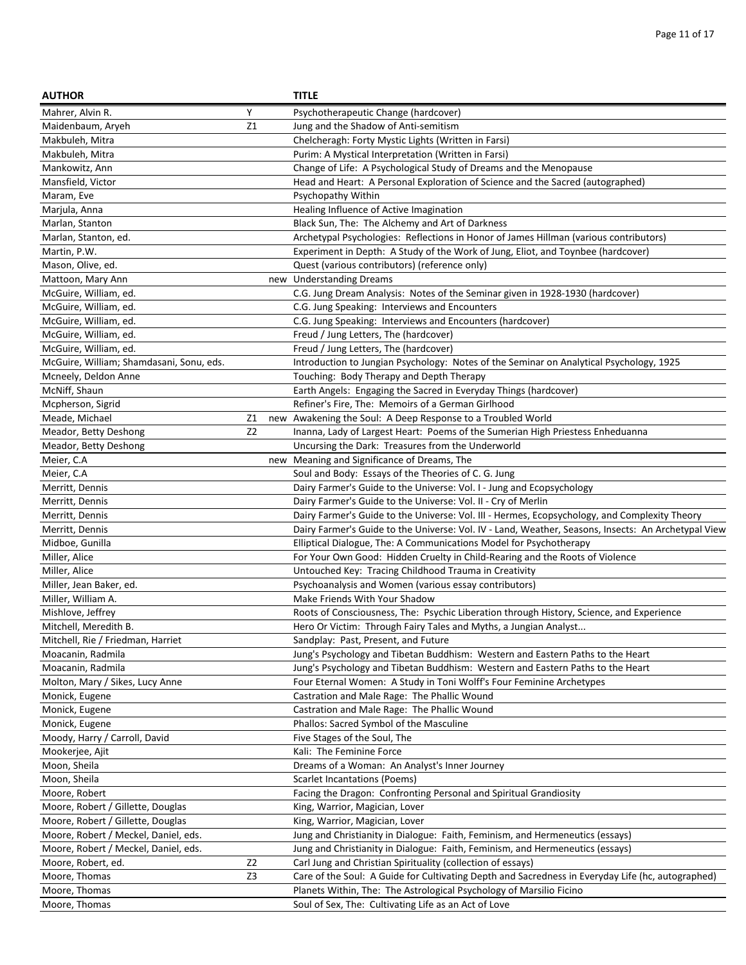| <b>AUTHOR</b>                            |                | <b>TITLE</b>                                                                                        |
|------------------------------------------|----------------|-----------------------------------------------------------------------------------------------------|
| Mahrer, Alvin R.                         | Υ              | Psychotherapeutic Change (hardcover)                                                                |
| Maidenbaum, Aryeh                        | Z1             | Jung and the Shadow of Anti-semitism                                                                |
| Makbuleh, Mitra                          |                | Chelcheragh: Forty Mystic Lights (Written in Farsi)                                                 |
| Makbuleh, Mitra                          |                | Purim: A Mystical Interpretation (Written in Farsi)                                                 |
| Mankowitz, Ann                           |                | Change of Life: A Psychological Study of Dreams and the Menopause                                   |
| Mansfield, Victor                        |                | Head and Heart: A Personal Exploration of Science and the Sacred (autographed)                      |
| Maram, Eve                               |                | Psychopathy Within                                                                                  |
| Marjula, Anna                            |                | Healing Influence of Active Imagination                                                             |
| Marlan, Stanton                          |                | Black Sun, The: The Alchemy and Art of Darkness                                                     |
| Marlan, Stanton, ed.                     |                | Archetypal Psychologies: Reflections in Honor of James Hillman (various contributors)               |
| Martin, P.W.                             |                | Experiment in Depth: A Study of the Work of Jung, Eliot, and Toynbee (hardcover)                    |
| Mason, Olive, ed.                        |                | Quest (various contributors) (reference only)                                                       |
| Mattoon, Mary Ann                        |                | new Understanding Dreams                                                                            |
| McGuire, William, ed.                    |                | C.G. Jung Dream Analysis: Notes of the Seminar given in 1928-1930 (hardcover)                       |
| McGuire, William, ed.                    |                | C.G. Jung Speaking: Interviews and Encounters                                                       |
| McGuire, William, ed.                    |                | C.G. Jung Speaking: Interviews and Encounters (hardcover)                                           |
| McGuire, William, ed.                    |                | Freud / Jung Letters, The (hardcover)                                                               |
| McGuire, William, ed.                    |                | Freud / Jung Letters, The (hardcover)                                                               |
| McGuire, William; Shamdasani, Sonu, eds. |                | Introduction to Jungian Psychology: Notes of the Seminar on Analytical Psychology, 1925             |
| Mcneely, Deldon Anne                     |                | Touching: Body Therapy and Depth Therapy                                                            |
| McNiff, Shaun                            |                | Earth Angels: Engaging the Sacred in Everyday Things (hardcover)                                    |
| Mcpherson, Sigrid                        |                | Refiner's Fire, The: Memoirs of a German Girlhood                                                   |
| Meade, Michael                           | Z1             | new Awakening the Soul: A Deep Response to a Troubled World                                         |
| Meador, Betty Deshong                    | Z <sub>2</sub> | Inanna, Lady of Largest Heart: Poems of the Sumerian High Priestess Enheduanna                      |
| Meador, Betty Deshong                    |                | Uncursing the Dark: Treasures from the Underworld                                                   |
| Meier, C.A                               |                | new Meaning and Significance of Dreams, The                                                         |
| Meier, C.A                               |                | Soul and Body: Essays of the Theories of C. G. Jung                                                 |
| Merritt, Dennis                          |                | Dairy Farmer's Guide to the Universe: Vol. I - Jung and Ecopsychology                               |
| Merritt, Dennis                          |                | Dairy Farmer's Guide to the Universe: Vol. II - Cry of Merlin                                       |
| Merritt, Dennis                          |                | Dairy Farmer's Guide to the Universe: Vol. III - Hermes, Ecopsychology, and Complexity Theory       |
| Merritt, Dennis                          |                | Dairy Farmer's Guide to the Universe: Vol. IV - Land, Weather, Seasons, Insects: An Archetypal View |
| Midboe, Gunilla                          |                | Elliptical Dialogue, The: A Communications Model for Psychotherapy                                  |
| Miller, Alice                            |                | For Your Own Good: Hidden Cruelty in Child-Rearing and the Roots of Violence                        |
| Miller, Alice                            |                | Untouched Key: Tracing Childhood Trauma in Creativity                                               |
| Miller, Jean Baker, ed.                  |                | Psychoanalysis and Women (various essay contributors)                                               |
| Miller, William A.                       |                | Make Friends With Your Shadow                                                                       |
| Mishlove, Jeffrey                        |                | Roots of Consciousness, The: Psychic Liberation through History, Science, and Experience            |
| Mitchell, Meredith B.                    |                | Hero Or Victim: Through Fairy Tales and Myths, a Jungian Analyst                                    |
| Mitchell, Rie / Friedman, Harriet        |                | Sandplay: Past, Present, and Future                                                                 |
| Moacanin, Radmila                        |                | Jung's Psychology and Tibetan Buddhism: Western and Eastern Paths to the Heart                      |
| Moacanin, Radmila                        |                | Jung's Psychology and Tibetan Buddhism: Western and Eastern Paths to the Heart                      |
| Molton, Mary / Sikes, Lucy Anne          |                | Four Eternal Women: A Study in Toni Wolff's Four Feminine Archetypes                                |
| Monick, Eugene                           |                | Castration and Male Rage: The Phallic Wound                                                         |
| Monick, Eugene                           |                | Castration and Male Rage: The Phallic Wound                                                         |
| Monick, Eugene                           |                | Phallos: Sacred Symbol of the Masculine                                                             |
| Moody, Harry / Carroll, David            |                | Five Stages of the Soul, The                                                                        |
| Mookerjee, Ajit                          |                | Kali: The Feminine Force                                                                            |
| Moon, Sheila                             |                | Dreams of a Woman: An Analyst's Inner Journey                                                       |
| Moon, Sheila                             |                | <b>Scarlet Incantations (Poems)</b>                                                                 |
| Moore, Robert                            |                | Facing the Dragon: Confronting Personal and Spiritual Grandiosity                                   |
| Moore, Robert / Gillette, Douglas        |                | King, Warrior, Magician, Lover                                                                      |
| Moore, Robert / Gillette, Douglas        |                | King, Warrior, Magician, Lover                                                                      |
| Moore, Robert / Meckel, Daniel, eds.     |                | Jung and Christianity in Dialogue: Faith, Feminism, and Hermeneutics (essays)                       |
| Moore, Robert / Meckel, Daniel, eds.     |                | Jung and Christianity in Dialogue: Faith, Feminism, and Hermeneutics (essays)                       |
| Moore, Robert, ed.                       | Z <sub>2</sub> | Carl Jung and Christian Spirituality (collection of essays)                                         |
| Moore, Thomas                            | Z3             | Care of the Soul: A Guide for Cultivating Depth and Sacredness in Everyday Life (hc, autographed)   |
| Moore, Thomas                            |                | Planets Within, The: The Astrological Psychology of Marsilio Ficino                                 |
| Moore, Thomas                            |                | Soul of Sex, The: Cultivating Life as an Act of Love                                                |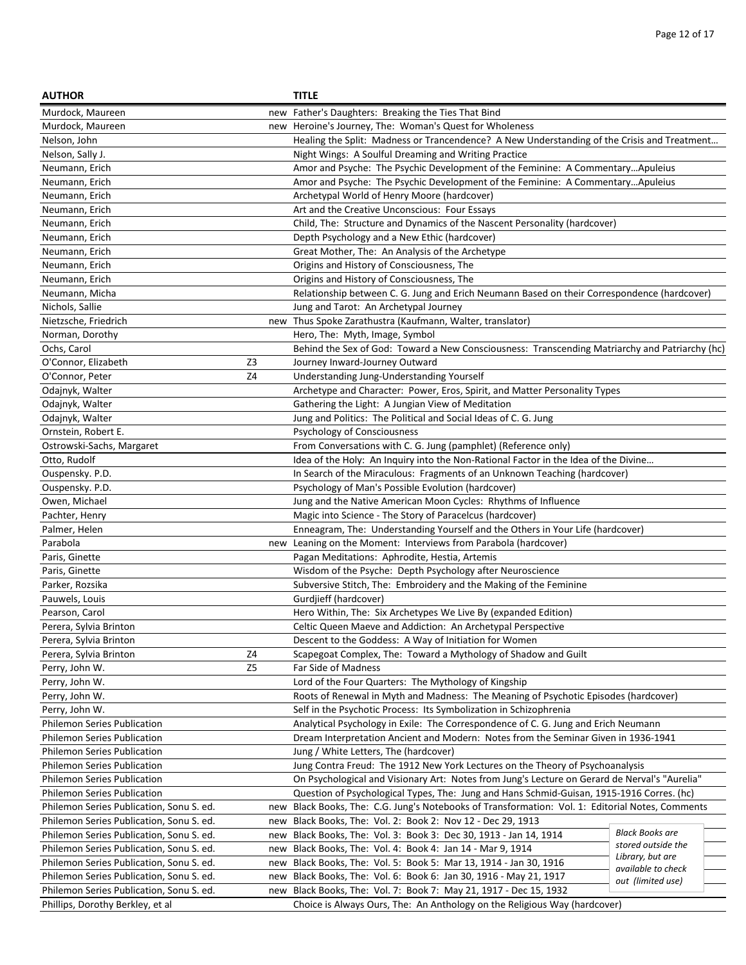| <b>AUTHOR</b>                            |                | <b>TITLE</b>                                                                                     |                        |
|------------------------------------------|----------------|--------------------------------------------------------------------------------------------------|------------------------|
| Murdock, Maureen                         |                | new Father's Daughters: Breaking the Ties That Bind                                              |                        |
| Murdock, Maureen                         |                | new Heroine's Journey, The: Woman's Quest for Wholeness                                          |                        |
| Nelson, John                             |                | Healing the Split: Madness or Trancendence? A New Understanding of the Crisis and Treatment      |                        |
| Nelson, Sally J.                         |                | Night Wings: A Soulful Dreaming and Writing Practice                                             |                        |
| Neumann, Erich                           |                | Amor and Psyche: The Psychic Development of the Feminine: A CommentaryApuleius                   |                        |
| Neumann, Erich                           |                | Amor and Psyche: The Psychic Development of the Feminine: A CommentaryApuleius                   |                        |
| Neumann, Erich                           |                | Archetypal World of Henry Moore (hardcover)                                                      |                        |
| Neumann, Erich                           |                | Art and the Creative Unconscious: Four Essays                                                    |                        |
| Neumann, Erich                           |                | Child, The: Structure and Dynamics of the Nascent Personality (hardcover)                        |                        |
| Neumann, Erich                           |                | Depth Psychology and a New Ethic (hardcover)                                                     |                        |
| Neumann, Erich                           |                | Great Mother, The: An Analysis of the Archetype                                                  |                        |
| Neumann, Erich                           |                | Origins and History of Consciousness, The                                                        |                        |
| Neumann, Erich                           |                | Origins and History of Consciousness, The                                                        |                        |
| Neumann, Micha                           |                | Relationship between C. G. Jung and Erich Neumann Based on their Correspondence (hardcover)      |                        |
| Nichols, Sallie                          |                | Jung and Tarot: An Archetypal Journey                                                            |                        |
| Nietzsche, Friedrich                     |                | new Thus Spoke Zarathustra (Kaufmann, Walter, translator)                                        |                        |
| Norman, Dorothy                          |                | Hero, The: Myth, Image, Symbol                                                                   |                        |
| Ochs, Carol                              |                | Behind the Sex of God: Toward a New Consciousness: Transcending Matriarchy and Patriarchy (hc)   |                        |
| O'Connor, Elizabeth                      | Z3             | Journey Inward-Journey Outward                                                                   |                        |
| O'Connor, Peter                          | Z <sub>4</sub> | Understanding Jung-Understanding Yourself                                                        |                        |
| Odajnyk, Walter                          |                | Archetype and Character: Power, Eros, Spirit, and Matter Personality Types                       |                        |
| Odajnyk, Walter                          |                | Gathering the Light: A Jungian View of Meditation                                                |                        |
| Odajnyk, Walter                          |                | Jung and Politics: The Political and Social Ideas of C. G. Jung                                  |                        |
| Ornstein, Robert E.                      |                | Psychology of Consciousness                                                                      |                        |
| Ostrowski-Sachs, Margaret                |                | From Conversations with C. G. Jung (pamphlet) (Reference only)                                   |                        |
| Otto, Rudolf                             |                | Idea of the Holy: An Inquiry into the Non-Rational Factor in the Idea of the Divine              |                        |
| Ouspensky. P.D.                          |                | In Search of the Miraculous: Fragments of an Unknown Teaching (hardcover)                        |                        |
| Ouspensky. P.D.                          |                | Psychology of Man's Possible Evolution (hardcover)                                               |                        |
| Owen, Michael                            |                | Jung and the Native American Moon Cycles: Rhythms of Influence                                   |                        |
| Pachter, Henry                           |                | Magic into Science - The Story of Paracelcus (hardcover)                                         |                        |
| Palmer, Helen                            |                | Enneagram, The: Understanding Yourself and the Others in Your Life (hardcover)                   |                        |
| Parabola                                 |                | new Leaning on the Moment: Interviews from Parabola (hardcover)                                  |                        |
| Paris, Ginette                           |                | Pagan Meditations: Aphrodite, Hestia, Artemis                                                    |                        |
| Paris, Ginette                           |                | Wisdom of the Psyche: Depth Psychology after Neuroscience                                        |                        |
| Parker, Rozsika                          |                | Subversive Stitch, The: Embroidery and the Making of the Feminine                                |                        |
| Pauwels, Louis                           |                | Gurdjieff (hardcover)                                                                            |                        |
| Pearson, Carol                           |                | Hero Within, The: Six Archetypes We Live By (expanded Edition)                                   |                        |
| Perera, Sylvia Brinton                   |                | Celtic Queen Maeve and Addiction: An Archetypal Perspective                                      |                        |
| Perera, Sylvia Brinton                   |                | Descent to the Goddess: A Way of Initiation for Women                                            |                        |
| Perera, Sylvia Brinton                   | Ζ4             | Scapegoat Complex, The: Toward a Mythology of Shadow and Guilt                                   |                        |
| Perry, John W.                           | Z <sub>5</sub> | Far Side of Madness                                                                              |                        |
| Perry, John W.                           |                | Lord of the Four Quarters: The Mythology of Kingship                                             |                        |
| Perry, John W.                           |                | Roots of Renewal in Myth and Madness: The Meaning of Psychotic Episodes (hardcover)              |                        |
| Perry, John W.                           |                | Self in the Psychotic Process: Its Symbolization in Schizophrenia                                |                        |
| <b>Philemon Series Publication</b>       |                | Analytical Psychology in Exile: The Correspondence of C. G. Jung and Erich Neumann               |                        |
| Philemon Series Publication              |                | Dream Interpretation Ancient and Modern: Notes from the Seminar Given in 1936-1941               |                        |
| <b>Philemon Series Publication</b>       |                | Jung / White Letters, The (hardcover)                                                            |                        |
| Philemon Series Publication              |                | Jung Contra Freud: The 1912 New York Lectures on the Theory of Psychoanalysis                    |                        |
| <b>Philemon Series Publication</b>       |                | On Psychological and Visionary Art: Notes from Jung's Lecture on Gerard de Nerval's "Aurelia"    |                        |
| <b>Philemon Series Publication</b>       |                | Question of Psychological Types, The: Jung and Hans Schmid-Guisan, 1915-1916 Corres. (hc)        |                        |
| Philemon Series Publication, Sonu S. ed. |                | new Black Books, The: C.G. Jung's Notebooks of Transformation: Vol. 1: Editorial Notes, Comments |                        |
| Philemon Series Publication, Sonu S. ed. | new            | Black Books, The: Vol. 2: Book 2: Nov 12 - Dec 29, 1913                                          |                        |
| Philemon Series Publication, Sonu S. ed. | new            | Black Books, The: Vol. 3: Book 3: Dec 30, 1913 - Jan 14, 1914                                    | <b>Black Books are</b> |
| Philemon Series Publication, Sonu S. ed. | new            | Black Books, The: Vol. 4: Book 4: Jan 14 - Mar 9, 1914                                           | stored outside the     |
| Philemon Series Publication, Sonu S. ed. | new            | Black Books, The: Vol. 5: Book 5: Mar 13, 1914 - Jan 30, 1916                                    | Library, but are       |
| Philemon Series Publication, Sonu S. ed. | new            | Black Books, The: Vol. 6: Book 6: Jan 30, 1916 - May 21, 1917                                    | available to check     |
| Philemon Series Publication, Sonu S. ed. | new            | Black Books, The: Vol. 7: Book 7: May 21, 1917 - Dec 15, 1932                                    | out (limited use)      |
| Phillips, Dorothy Berkley, et al         |                | Choice is Always Ours, The: An Anthology on the Religious Way (hardcover)                        |                        |
|                                          |                |                                                                                                  |                        |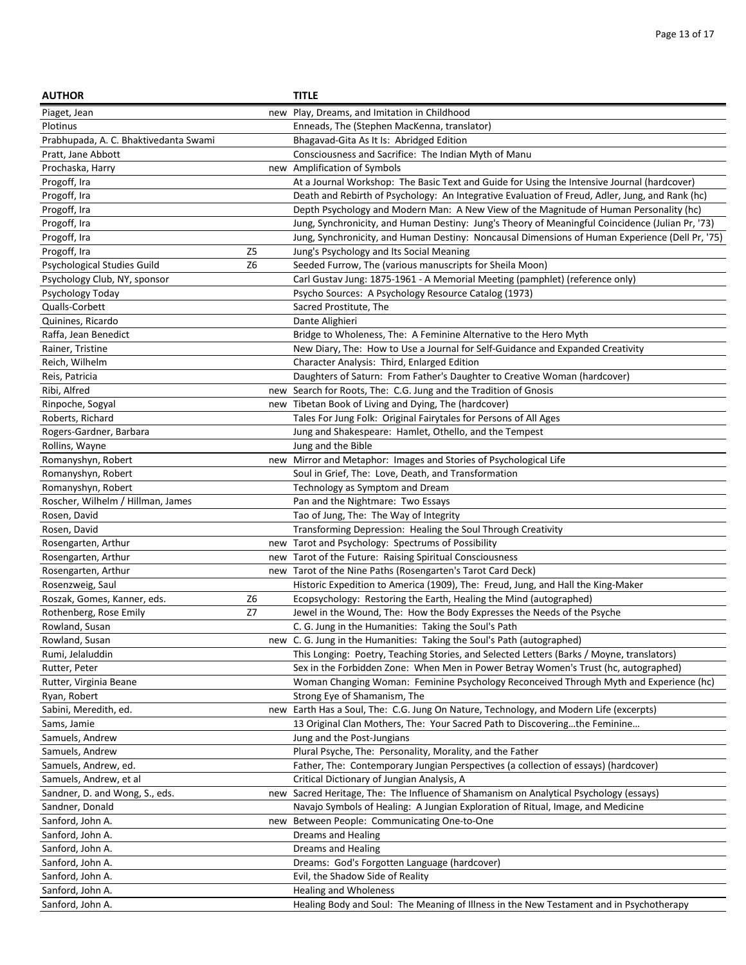| <b>AUTHOR</b>                         |                | <b>TITLE</b>                                                                                     |
|---------------------------------------|----------------|--------------------------------------------------------------------------------------------------|
| Piaget, Jean                          |                | new Play, Dreams, and Imitation in Childhood                                                     |
| Plotinus                              |                | Enneads, The (Stephen MacKenna, translator)                                                      |
| Prabhupada, A. C. Bhaktivedanta Swami |                | Bhagavad-Gita As It Is: Abridged Edition                                                         |
| Pratt, Jane Abbott                    |                | Consciousness and Sacrifice: The Indian Myth of Manu                                             |
| Prochaska, Harry                      |                | new Amplification of Symbols                                                                     |
| Progoff, Ira                          |                | At a Journal Workshop: The Basic Text and Guide for Using the Intensive Journal (hardcover)      |
| Progoff, Ira                          |                | Death and Rebirth of Psychology: An Integrative Evaluation of Freud, Adler, Jung, and Rank (hc)  |
| Progoff, Ira                          |                | Depth Psychology and Modern Man: A New View of the Magnitude of Human Personality (hc)           |
| Progoff, Ira                          |                | Jung, Synchronicity, and Human Destiny: Jung's Theory of Meaningful Coincidence (Julian Pr, '73) |
| Progoff, Ira                          |                | Jung, Synchronicity, and Human Destiny: Noncausal Dimensions of Human Experience (Dell Pr, '75)  |
| Progoff, Ira                          | Z <sub>5</sub> | Jung's Psychology and Its Social Meaning                                                         |
| Psychological Studies Guild           | Z <sub>6</sub> | Seeded Furrow, The (various manuscripts for Sheila Moon)                                         |
| Psychology Club, NY, sponsor          |                | Carl Gustav Jung: 1875-1961 - A Memorial Meeting (pamphlet) (reference only)                     |
| Psychology Today                      |                | Psycho Sources: A Psychology Resource Catalog (1973)                                             |
| Qualls-Corbett                        |                | Sacred Prostitute, The                                                                           |
| Quinines, Ricardo                     |                | Dante Alighieri                                                                                  |
| Raffa, Jean Benedict                  |                | Bridge to Wholeness, The: A Feminine Alternative to the Hero Myth                                |
| Rainer, Tristine                      |                | New Diary, The: How to Use a Journal for Self-Guidance and Expanded Creativity                   |
| Reich, Wilhelm                        |                | Character Analysis: Third, Enlarged Edition                                                      |
| Reis, Patricia                        |                | Daughters of Saturn: From Father's Daughter to Creative Woman (hardcover)                        |
| Ribi, Alfred                          |                | new Search for Roots, The: C.G. Jung and the Tradition of Gnosis                                 |
| Rinpoche, Sogyal                      |                | new Tibetan Book of Living and Dying, The (hardcover)                                            |
| Roberts, Richard                      |                | Tales For Jung Folk: Original Fairytales for Persons of All Ages                                 |
| Rogers-Gardner, Barbara               |                | Jung and Shakespeare: Hamlet, Othello, and the Tempest                                           |
| Rollins, Wayne                        |                | Jung and the Bible                                                                               |
| Romanyshyn, Robert                    |                | new Mirror and Metaphor: Images and Stories of Psychological Life                                |
| Romanyshyn, Robert                    |                | Soul in Grief, The: Love, Death, and Transformation                                              |
| Romanyshyn, Robert                    |                | Technology as Symptom and Dream                                                                  |
| Roscher, Wilhelm / Hillman, James     |                | Pan and the Nightmare: Two Essays                                                                |
| Rosen, David                          |                | Tao of Jung, The: The Way of Integrity                                                           |
| Rosen, David                          |                | Transforming Depression: Healing the Soul Through Creativity                                     |
| Rosengarten, Arthur                   |                | new Tarot and Psychology: Spectrums of Possibility                                               |
| Rosengarten, Arthur                   |                | new Tarot of the Future: Raising Spiritual Consciousness                                         |
| Rosengarten, Arthur                   |                | new Tarot of the Nine Paths (Rosengarten's Tarot Card Deck)                                      |
| Rosenzweig, Saul                      |                | Historic Expedition to America (1909), The: Freud, Jung, and Hall the King-Maker                 |
| Roszak, Gomes, Kanner, eds.           | Z6             | Ecopsychology: Restoring the Earth, Healing the Mind (autographed)                               |
| Rothenberg, Rose Emily                | Z7             | Jewel in the Wound, The: How the Body Expresses the Needs of the Psyche                          |
| Rowland, Susan                        |                | C. G. Jung in the Humanities: Taking the Soul's Path                                             |
| Rowland, Susan                        |                | new C. G. Jung in the Humanities: Taking the Soul's Path (autographed)                           |
| Rumi, Jelaluddin                      |                | This Longing: Poetry, Teaching Stories, and Selected Letters (Barks / Moyne, translators)        |
| Rutter, Peter                         |                | Sex in the Forbidden Zone: When Men in Power Betray Women's Trust (hc, autographed)              |
| Rutter, Virginia Beane                |                | Woman Changing Woman: Feminine Psychology Reconceived Through Myth and Experience (hc)           |
| Ryan, Robert                          |                | Strong Eye of Shamanism, The                                                                     |
| Sabini, Meredith, ed.                 |                | new Earth Has a Soul, The: C.G. Jung On Nature, Technology, and Modern Life (excerpts)           |
| Sams, Jamie                           |                | 13 Original Clan Mothers, The: Your Sacred Path to Discoveringthe Feminine                       |
| Samuels, Andrew                       |                | Jung and the Post-Jungians                                                                       |
| Samuels, Andrew                       |                | Plural Psyche, The: Personality, Morality, and the Father                                        |
| Samuels, Andrew, ed.                  |                | Father, The: Contemporary Jungian Perspectives (a collection of essays) (hardcover)              |
| Samuels, Andrew, et al                |                | Critical Dictionary of Jungian Analysis, A                                                       |
| Sandner, D. and Wong, S., eds.        |                | new Sacred Heritage, The: The Influence of Shamanism on Analytical Psychology (essays)           |
| Sandner, Donald                       |                | Navajo Symbols of Healing: A Jungian Exploration of Ritual, Image, and Medicine                  |
| Sanford, John A.                      | new            | Between People: Communicating One-to-One                                                         |
| Sanford, John A.                      |                | Dreams and Healing                                                                               |
| Sanford, John A.                      |                | Dreams and Healing                                                                               |
| Sanford, John A.                      |                | Dreams: God's Forgotten Language (hardcover)                                                     |
| Sanford, John A.                      |                | Evil, the Shadow Side of Reality                                                                 |
| Sanford, John A.                      |                | <b>Healing and Wholeness</b>                                                                     |
| Sanford, John A.                      |                | Healing Body and Soul: The Meaning of Illness in the New Testament and in Psychotherapy          |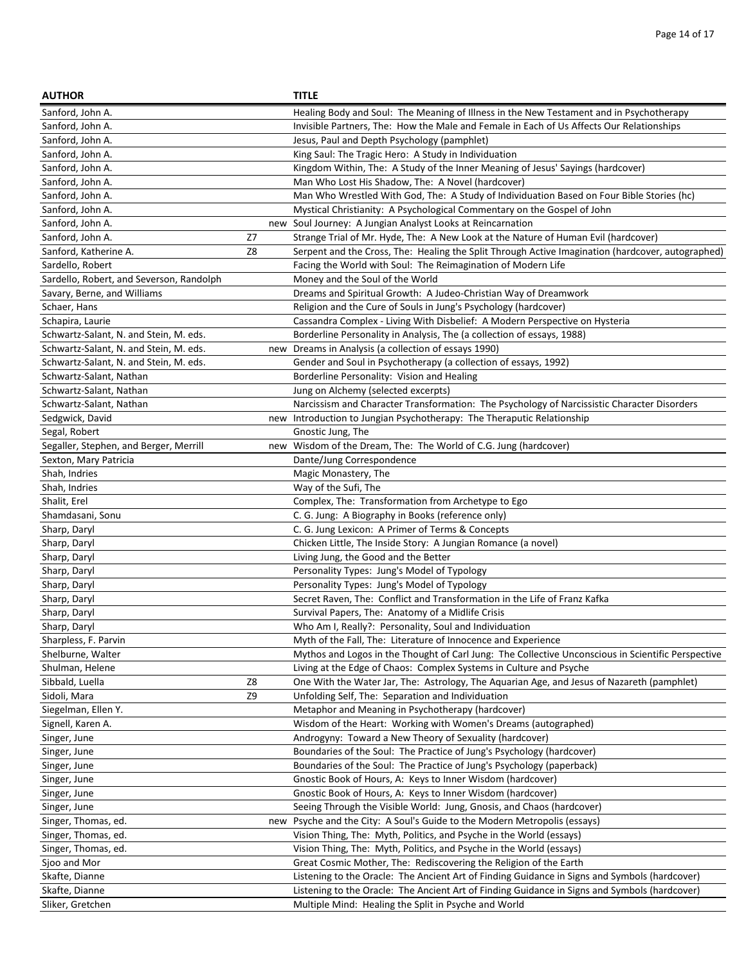| <b>AUTHOR</b>                            |     | <b>TITLE</b>                                                                                       |
|------------------------------------------|-----|----------------------------------------------------------------------------------------------------|
| Sanford, John A.                         |     | Healing Body and Soul: The Meaning of Illness in the New Testament and in Psychotherapy            |
| Sanford, John A.                         |     | Invisible Partners, The: How the Male and Female in Each of Us Affects Our Relationships           |
| Sanford, John A.                         |     | Jesus, Paul and Depth Psychology (pamphlet)                                                        |
| Sanford, John A.                         |     | King Saul: The Tragic Hero: A Study in Individuation                                               |
| Sanford, John A.                         |     | Kingdom Within, The: A Study of the Inner Meaning of Jesus' Sayings (hardcover)                    |
| Sanford, John A.                         |     | Man Who Lost His Shadow, The: A Novel (hardcover)                                                  |
| Sanford, John A.                         |     | Man Who Wrestled With God, The: A Study of Individuation Based on Four Bible Stories (hc)          |
| Sanford, John A.                         |     | Mystical Christianity: A Psychological Commentary on the Gospel of John                            |
| Sanford, John A.                         |     | new Soul Journey: A Jungian Analyst Looks at Reincarnation                                         |
| Sanford, John A.                         | Z7  | Strange Trial of Mr. Hyde, The: A New Look at the Nature of Human Evil (hardcover)                 |
| Sanford, Katherine A.                    | Z8  | Serpent and the Cross, The: Healing the Split Through Active Imagination (hardcover, autographed)  |
| Sardello, Robert                         |     | Facing the World with Soul: The Reimagination of Modern Life                                       |
| Sardello, Robert, and Severson, Randolph |     | Money and the Soul of the World                                                                    |
| Savary, Berne, and Williams              |     | Dreams and Spiritual Growth: A Judeo-Christian Way of Dreamwork                                    |
| Schaer, Hans                             |     | Religion and the Cure of Souls in Jung's Psychology (hardcover)                                    |
| Schapira, Laurie                         |     | Cassandra Complex - Living With Disbelief: A Modern Perspective on Hysteria                        |
| Schwartz-Salant, N. and Stein, M. eds.   |     | Borderline Personality in Analysis, The (a collection of essays, 1988)                             |
| Schwartz-Salant, N. and Stein, M. eds.   | new | Dreams in Analysis (a collection of essays 1990)                                                   |
| Schwartz-Salant, N. and Stein, M. eds.   |     | Gender and Soul in Psychotherapy (a collection of essays, 1992)                                    |
| Schwartz-Salant, Nathan                  |     | Borderline Personality: Vision and Healing                                                         |
| Schwartz-Salant, Nathan                  |     | Jung on Alchemy (selected excerpts)                                                                |
| Schwartz-Salant, Nathan                  |     | Narcissism and Character Transformation: The Psychology of Narcissistic Character Disorders        |
| Sedgwick, David                          |     | new Introduction to Jungian Psychotherapy: The Theraputic Relationship                             |
| Segal, Robert                            |     | Gnostic Jung, The                                                                                  |
| Segaller, Stephen, and Berger, Merrill   |     | new Wisdom of the Dream, The: The World of C.G. Jung (hardcover)                                   |
| Sexton, Mary Patricia                    |     | Dante/Jung Correspondence                                                                          |
| Shah, Indries                            |     | Magic Monastery, The                                                                               |
| Shah, Indries                            |     | Way of the Sufi, The                                                                               |
| Shalit, Erel                             |     | Complex, The: Transformation from Archetype to Ego                                                 |
| Shamdasani, Sonu                         |     | C. G. Jung: A Biography in Books (reference only)                                                  |
| Sharp, Daryl                             |     | C. G. Jung Lexicon: A Primer of Terms & Concepts                                                   |
| Sharp, Daryl                             |     | Chicken Little, The Inside Story: A Jungian Romance (a novel)                                      |
| Sharp, Daryl                             |     | Living Jung, the Good and the Better                                                               |
| Sharp, Daryl                             |     | Personality Types: Jung's Model of Typology                                                        |
| Sharp, Daryl                             |     | Personality Types: Jung's Model of Typology                                                        |
| Sharp, Daryl                             |     | Secret Raven, The: Conflict and Transformation in the Life of Franz Kafka                          |
| Sharp, Daryl                             |     | Survival Papers, The: Anatomy of a Midlife Crisis                                                  |
| Sharp, Daryl                             |     | Who Am I, Really?: Personality, Soul and Individuation                                             |
| Sharpless, F. Parvin                     |     | Myth of the Fall, The: Literature of Innocence and Experience                                      |
| Shelburne, Walter                        |     | Mythos and Logos in the Thought of Carl Jung: The Collective Unconscious in Scientific Perspective |
| Shulman, Helene                          |     | Living at the Edge of Chaos: Complex Systems in Culture and Psyche                                 |
| Sibbald, Luella                          | Z8  | One With the Water Jar, The: Astrology, The Aquarian Age, and Jesus of Nazareth (pamphlet)         |
| Sidoli, Mara                             | Z9  | Unfolding Self, The: Separation and Individuation                                                  |
| Siegelman, Ellen Y.                      |     | Metaphor and Meaning in Psychotherapy (hardcover)                                                  |
| Signell, Karen A.                        |     | Wisdom of the Heart: Working with Women's Dreams (autographed)                                     |
| Singer, June                             |     | Androgyny: Toward a New Theory of Sexuality (hardcover)                                            |
| Singer, June                             |     | Boundaries of the Soul: The Practice of Jung's Psychology (hardcover)                              |
| Singer, June                             |     | Boundaries of the Soul: The Practice of Jung's Psychology (paperback)                              |
| Singer, June                             |     | Gnostic Book of Hours, A: Keys to Inner Wisdom (hardcover)                                         |
| Singer, June                             |     | Gnostic Book of Hours, A: Keys to Inner Wisdom (hardcover)                                         |
| Singer, June                             |     | Seeing Through the Visible World: Jung, Gnosis, and Chaos (hardcover)                              |
| Singer, Thomas, ed.                      |     | new Psyche and the City: A Soul's Guide to the Modern Metropolis (essays)                          |
| Singer, Thomas, ed.                      |     | Vision Thing, The: Myth, Politics, and Psyche in the World (essays)                                |
| Singer, Thomas, ed.                      |     | Vision Thing, The: Myth, Politics, and Psyche in the World (essays)                                |
| Sjoo and Mor                             |     | Great Cosmic Mother, The: Rediscovering the Religion of the Earth                                  |
| Skafte, Dianne                           |     | Listening to the Oracle: The Ancient Art of Finding Guidance in Signs and Symbols (hardcover)      |
| Skafte, Dianne                           |     | Listening to the Oracle: The Ancient Art of Finding Guidance in Signs and Symbols (hardcover)      |
| Sliker, Gretchen                         |     | Multiple Mind: Healing the Split in Psyche and World                                               |
|                                          |     |                                                                                                    |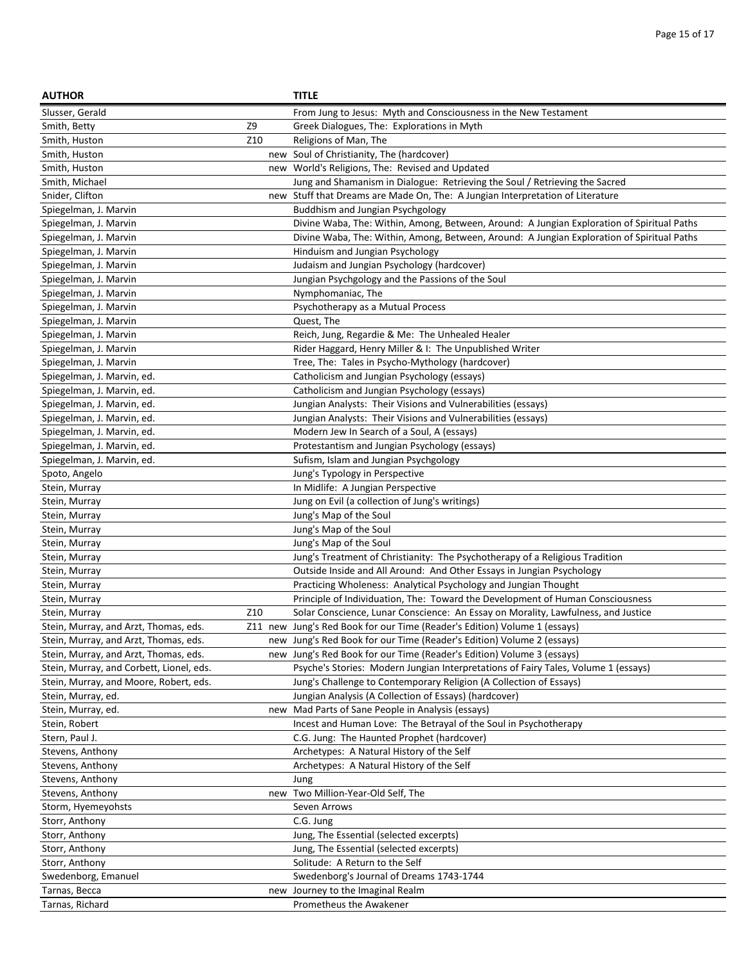| <b>AUTHOR</b>                            |     | <b>TITLE</b>                                                                               |
|------------------------------------------|-----|--------------------------------------------------------------------------------------------|
| Slusser, Gerald                          |     | From Jung to Jesus: Myth and Consciousness in the New Testament                            |
| Smith, Betty                             | Z9  | Greek Dialogues, The: Explorations in Myth                                                 |
| Smith, Huston                            | Z10 | Religions of Man, The                                                                      |
| Smith, Huston                            | new | Soul of Christianity, The (hardcover)                                                      |
| Smith, Huston                            |     | new World's Religions, The: Revised and Updated                                            |
| Smith, Michael                           |     | Jung and Shamanism in Dialogue: Retrieving the Soul / Retrieving the Sacred                |
| Snider, Clifton                          |     | new Stuff that Dreams are Made On, The: A Jungian Interpretation of Literature             |
| Spiegelman, J. Marvin                    |     | Buddhism and Jungian Psychgology                                                           |
| Spiegelman, J. Marvin                    |     | Divine Waba, The: Within, Among, Between, Around: A Jungian Exploration of Spiritual Paths |
| Spiegelman, J. Marvin                    |     | Divine Waba, The: Within, Among, Between, Around: A Jungian Exploration of Spiritual Paths |
| Spiegelman, J. Marvin                    |     | Hinduism and Jungian Psychology                                                            |
| Spiegelman, J. Marvin                    |     | Judaism and Jungian Psychology (hardcover)                                                 |
| Spiegelman, J. Marvin                    |     | Jungian Psychgology and the Passions of the Soul                                           |
| Spiegelman, J. Marvin                    |     | Nymphomaniac, The                                                                          |
| Spiegelman, J. Marvin                    |     | Psychotherapy as a Mutual Process                                                          |
| Spiegelman, J. Marvin                    |     | Quest, The                                                                                 |
| Spiegelman, J. Marvin                    |     | Reich, Jung, Regardie & Me: The Unhealed Healer                                            |
| Spiegelman, J. Marvin                    |     | Rider Haggard, Henry Miller & I: The Unpublished Writer                                    |
| Spiegelman, J. Marvin                    |     | Tree, The: Tales in Psycho-Mythology (hardcover)                                           |
| Spiegelman, J. Marvin, ed.               |     | Catholicism and Jungian Psychology (essays)                                                |
| Spiegelman, J. Marvin, ed.               |     | Catholicism and Jungian Psychology (essays)                                                |
| Spiegelman, J. Marvin, ed.               |     | Jungian Analysts: Their Visions and Vulnerabilities (essays)                               |
| Spiegelman, J. Marvin, ed.               |     | Jungian Analysts: Their Visions and Vulnerabilities (essays)                               |
| Spiegelman, J. Marvin, ed.               |     | Modern Jew In Search of a Soul, A (essays)                                                 |
| Spiegelman, J. Marvin, ed.               |     | Protestantism and Jungian Psychology (essays)                                              |
| Spiegelman, J. Marvin, ed.               |     | Sufism, Islam and Jungian Psychgology                                                      |
| Spoto, Angelo                            |     | Jung's Typology in Perspective                                                             |
| Stein, Murray                            |     | In Midlife: A Jungian Perspective                                                          |
| Stein, Murray                            |     | Jung on Evil (a collection of Jung's writings)                                             |
| Stein, Murray                            |     | Jung's Map of the Soul                                                                     |
| Stein, Murray                            |     | Jung's Map of the Soul                                                                     |
| Stein, Murray                            |     | Jung's Map of the Soul                                                                     |
| Stein, Murray                            |     | Jung's Treatment of Christianity: The Psychotherapy of a Religious Tradition               |
| Stein, Murray                            |     | Outside Inside and All Around: And Other Essays in Jungian Psychology                      |
| Stein, Murray                            |     | Practicing Wholeness: Analytical Psychology and Jungian Thought                            |
| Stein, Murray                            |     | Principle of Individuation, The: Toward the Development of Human Consciousness             |
| Stein, Murray                            | Z10 | Solar Conscience, Lunar Conscience: An Essay on Morality, Lawfulness, and Justice          |
| Stein, Murray, and Arzt, Thomas, eds.    |     | Z11 new Jung's Red Book for our Time (Reader's Edition) Volume 1 (essays)                  |
| Stein, Murray, and Arzt, Thomas, eds.    |     | new Jung's Red Book for our Time (Reader's Edition) Volume 2 (essays)                      |
| Stein, Murray, and Arzt, Thomas, eds.    |     | new Jung's Red Book for our Time (Reader's Edition) Volume 3 (essays)                      |
| Stein, Murray, and Corbett, Lionel, eds. |     | Psyche's Stories: Modern Jungian Interpretations of Fairy Tales, Volume 1 (essays)         |
| Stein, Murray, and Moore, Robert, eds.   |     | Jung's Challenge to Contemporary Religion (A Collection of Essays)                         |
| Stein, Murray, ed.                       |     | Jungian Analysis (A Collection of Essays) (hardcover)                                      |
| Stein, Murray, ed.                       |     | new Mad Parts of Sane People in Analysis (essays)                                          |
| Stein, Robert                            |     | Incest and Human Love: The Betrayal of the Soul in Psychotherapy                           |
| Stern, Paul J.                           |     | C.G. Jung: The Haunted Prophet (hardcover)                                                 |
| Stevens, Anthony                         |     | Archetypes: A Natural History of the Self                                                  |
| Stevens, Anthony                         |     | Archetypes: A Natural History of the Self                                                  |
| Stevens, Anthony                         |     | Jung                                                                                       |
| Stevens, Anthony                         |     | new Two Million-Year-Old Self, The                                                         |
| Storm, Hyemeyohsts                       |     | Seven Arrows                                                                               |
| Storr, Anthony                           |     | C.G. Jung                                                                                  |
| Storr, Anthony                           |     | Jung, The Essential (selected excerpts)                                                    |
| Storr, Anthony                           |     | Jung, The Essential (selected excerpts)                                                    |
| Storr, Anthony                           |     | Solitude: A Return to the Self                                                             |
| Swedenborg, Emanuel                      |     | Swedenborg's Journal of Dreams 1743-1744                                                   |
| Tarnas, Becca                            | new | Journey to the Imaginal Realm                                                              |
| Tarnas, Richard                          |     | Prometheus the Awakener                                                                    |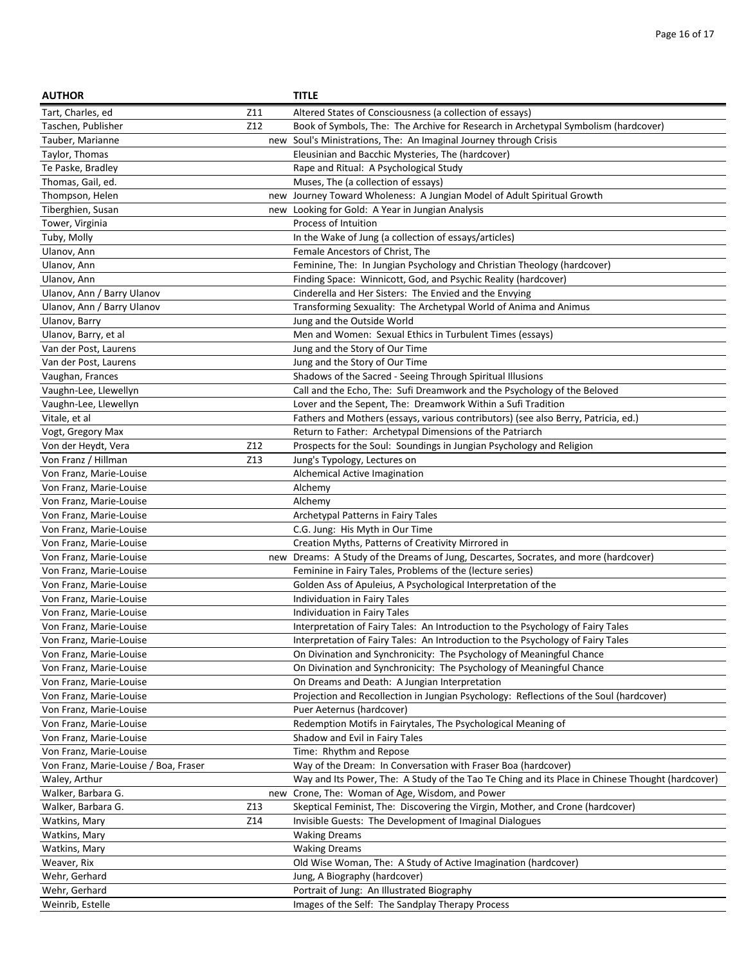| <b>AUTHOR</b>                         |     | <b>TITLE</b>                                                                                                                                      |
|---------------------------------------|-----|---------------------------------------------------------------------------------------------------------------------------------------------------|
| Tart, Charles, ed                     | Z11 | Altered States of Consciousness (a collection of essays)                                                                                          |
| Taschen, Publisher                    | Z12 | Book of Symbols, The: The Archive for Research in Archetypal Symbolism (hardcover)                                                                |
| Tauber, Marianne                      |     | new Soul's Ministrations, The: An Imaginal Journey through Crisis                                                                                 |
| Taylor, Thomas                        |     | Eleusinian and Bacchic Mysteries, The (hardcover)                                                                                                 |
| Te Paske, Bradley                     |     | Rape and Ritual: A Psychological Study                                                                                                            |
| Thomas, Gail, ed.                     |     | Muses, The (a collection of essays)                                                                                                               |
| Thompson, Helen                       |     | new Journey Toward Wholeness: A Jungian Model of Adult Spiritual Growth                                                                           |
| Tiberghien, Susan                     |     | new Looking for Gold: A Year in Jungian Analysis                                                                                                  |
| Tower, Virginia                       |     | Process of Intuition                                                                                                                              |
| Tuby, Molly                           |     | In the Wake of Jung (a collection of essays/articles)                                                                                             |
| Ulanov, Ann                           |     | Female Ancestors of Christ, The                                                                                                                   |
| Ulanov, Ann                           |     | Feminine, The: In Jungian Psychology and Christian Theology (hardcover)                                                                           |
| Ulanov, Ann                           |     | Finding Space: Winnicott, God, and Psychic Reality (hardcover)                                                                                    |
| Ulanov, Ann / Barry Ulanov            |     | Cinderella and Her Sisters: The Envied and the Envying                                                                                            |
| Ulanov, Ann / Barry Ulanov            |     | Transforming Sexuality: The Archetypal World of Anima and Animus                                                                                  |
| Ulanov, Barry                         |     | Jung and the Outside World                                                                                                                        |
| Ulanov, Barry, et al                  |     | Men and Women: Sexual Ethics in Turbulent Times (essays)                                                                                          |
| Van der Post, Laurens                 |     | Jung and the Story of Our Time                                                                                                                    |
| Van der Post, Laurens                 |     | Jung and the Story of Our Time                                                                                                                    |
| Vaughan, Frances                      |     | Shadows of the Sacred - Seeing Through Spiritual Illusions                                                                                        |
| Vaughn-Lee, Llewellyn                 |     | Call and the Echo, The: Sufi Dreamwork and the Psychology of the Beloved                                                                          |
| Vaughn-Lee, Llewellyn                 |     | Lover and the Sepent, The: Dreamwork Within a Sufi Tradition                                                                                      |
| Vitale, et al                         |     | Fathers and Mothers (essays, various contributors) (see also Berry, Patricia, ed.)                                                                |
| Vogt, Gregory Max                     |     | Return to Father: Archetypal Dimensions of the Patriarch                                                                                          |
| Von der Heydt, Vera                   | Z12 | Prospects for the Soul: Soundings in Jungian Psychology and Religion                                                                              |
| Von Franz / Hillman                   | Z13 | Jung's Typology, Lectures on                                                                                                                      |
| Von Franz, Marie-Louise               |     | Alchemical Active Imagination                                                                                                                     |
| Von Franz, Marie-Louise               |     | Alchemy                                                                                                                                           |
| Von Franz, Marie-Louise               |     | Alchemy                                                                                                                                           |
|                                       |     |                                                                                                                                                   |
| Von Franz, Marie-Louise               |     | Archetypal Patterns in Fairy Tales                                                                                                                |
| Von Franz, Marie-Louise               |     | C.G. Jung: His Myth in Our Time                                                                                                                   |
| Von Franz, Marie-Louise               |     | Creation Myths, Patterns of Creativity Mirrored in                                                                                                |
| Von Franz, Marie-Louise               |     | new Dreams: A Study of the Dreams of Jung, Descartes, Socrates, and more (hardcover)<br>Feminine in Fairy Tales, Problems of the (lecture series) |
| Von Franz, Marie-Louise               |     |                                                                                                                                                   |
| Von Franz, Marie-Louise               |     | Golden Ass of Apuleius, A Psychological Interpretation of the<br>Individuation in Fairy Tales                                                     |
| Von Franz, Marie-Louise               |     |                                                                                                                                                   |
| Von Franz, Marie-Louise               |     | Individuation in Fairy Tales                                                                                                                      |
| Von Franz, Marie-Louise               |     | Interpretation of Fairy Tales: An Introduction to the Psychology of Fairy Tales                                                                   |
| Von Franz, Marie-Louise               |     | Interpretation of Fairy Tales: An Introduction to the Psychology of Fairy Tales                                                                   |
| Von Franz, Marie-Louise               |     | On Divination and Synchronicity: The Psychology of Meaningful Chance                                                                              |
| Von Franz, Marie-Louise               |     | On Divination and Synchronicity: The Psychology of Meaningful Chance                                                                              |
| Von Franz, Marie-Louise               |     | On Dreams and Death: A Jungian Interpretation                                                                                                     |
| Von Franz, Marie-Louise               |     | Projection and Recollection in Jungian Psychology: Reflections of the Soul (hardcover)                                                            |
| Von Franz, Marie-Louise               |     | Puer Aeternus (hardcover)                                                                                                                         |
| Von Franz, Marie-Louise               |     | Redemption Motifs in Fairytales, The Psychological Meaning of                                                                                     |
| Von Franz, Marie-Louise               |     | Shadow and Evil in Fairy Tales                                                                                                                    |
| Von Franz, Marie-Louise               |     | Time: Rhythm and Repose                                                                                                                           |
| Von Franz, Marie-Louise / Boa, Fraser |     | Way of the Dream: In Conversation with Fraser Boa (hardcover)                                                                                     |
| Waley, Arthur                         |     | Way and Its Power, The: A Study of the Tao Te Ching and its Place in Chinese Thought (hardcover)                                                  |
| Walker, Barbara G.                    |     | new Crone, The: Woman of Age, Wisdom, and Power                                                                                                   |
| Walker, Barbara G.                    | Z13 | Skeptical Feminist, The: Discovering the Virgin, Mother, and Crone (hardcover)                                                                    |
| Watkins, Mary                         | Z14 | Invisible Guests: The Development of Imaginal Dialogues                                                                                           |
| Watkins, Mary                         |     | <b>Waking Dreams</b>                                                                                                                              |
| Watkins, Mary                         |     | <b>Waking Dreams</b>                                                                                                                              |
| Weaver, Rix                           |     | Old Wise Woman, The: A Study of Active Imagination (hardcover)                                                                                    |
| Wehr, Gerhard                         |     | Jung, A Biography (hardcover)                                                                                                                     |
| Wehr, Gerhard                         |     | Portrait of Jung: An Illustrated Biography                                                                                                        |
| Weinrib, Estelle                      |     | Images of the Self: The Sandplay Therapy Process                                                                                                  |